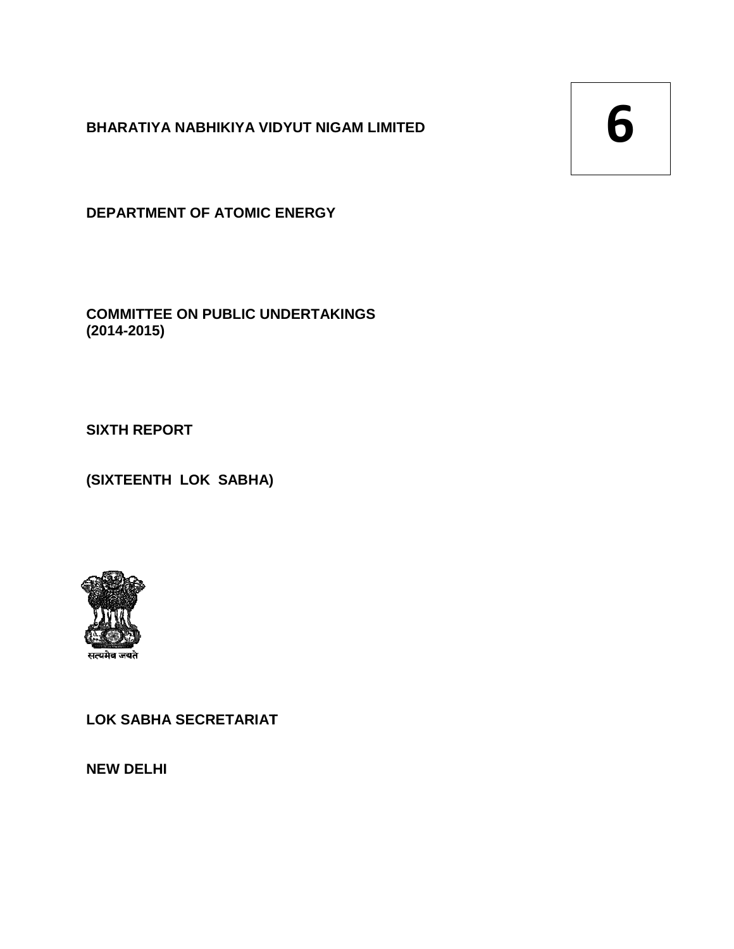**BHARATIYA NABHIKIYA VIDYUT NIGAM LIMITED**

**DEPARTMENT OF ATOMIC ENERGY**

**COMMITTEE ON PUBLIC UNDERTAKINGS (2014-2015)**  BHARATIYA NABHIKIYA VIDYUT NIGAM LIMITED<br>
DEPARTMENT OF ATOMIC ENERGY<br>
COMMITTEE ON PUBLIC UNDERTAKINGS<br>
(2014-2015)<br>
SIXTH REPORT<br>
(SIXTEENTH LOK SABHA)<br> **EXIXTEENTH LOK SABHA)**<br>
LOK SABHA SECRETARIAT

**SIXTH REPORT** 

**(SIXTEENTH LOK SABHA)**



**LOK SABHA SECRETARIAT**

**NEW DELHI**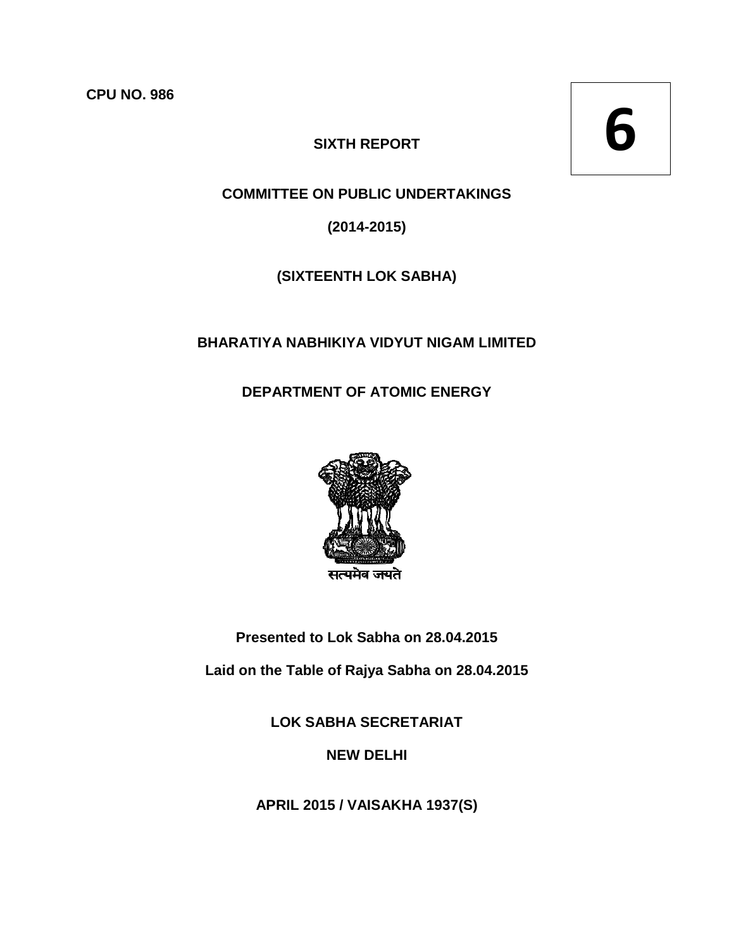**CPU NO. 986** 

# **SIXTH REPORT**

**6**

# **COMMITTEE ON PUBLIC UNDERTAKINGS**

**(2014-2015)** 

# **(SIXTEENTH LOK SABHA)**

## **BHARATIYA NABHIKIYA VIDYUT NIGAM LIMITED NABHIKIYA**

# **DEPARTMENT OF ATOMIC ENERGY**



**Presented to Lok Sabha on** 

**Laid on the Table of Rajya Sabha on 28.04.2015** 

**LOK SABHA SABHA SECRETARIAT** 

**NEW DELHI** 

**APRIL 2015 / VAISAKHA 1937(S) 1937(S)**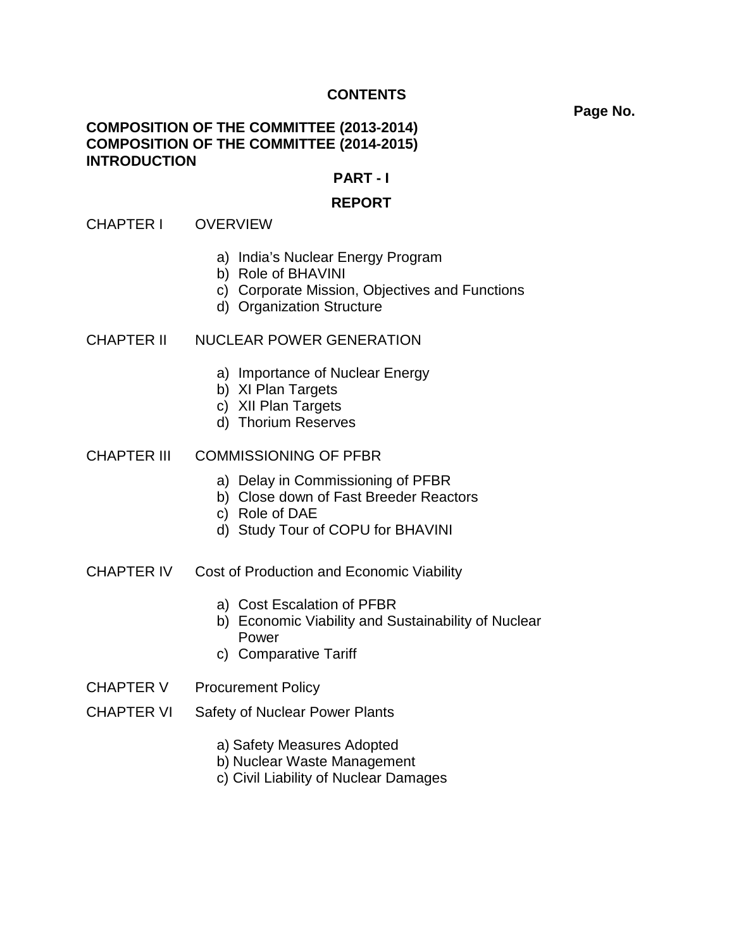### **CONTENTS**

#### **Page No.**

### **COMPOSITION OF THE COMMITTEE (2013-2014) COMPOSITION OF THE COMMITTEE (2014-2015) INTRODUCTION**

#### **PART - I**

#### **REPORT**

#### CHAPTER I OVERVIEW

- a) India's Nuclear Energy Program
- b) Role of BHAVINI
- c) Corporate Mission, Objectives and Functions
- d) Organization Structure

#### CHAPTER II NUCLEAR POWER GENERATION

- a) Importance of Nuclear Energy
- b) XI Plan Targets
- c) XII Plan Targets
- d) Thorium Reserves

#### CHAPTER III COMMISSIONING OF PFBR

- a) Delay in Commissioning of PFBR
- b) Close down of Fast Breeder Reactors
- c) Role of DAE
- d) Study Tour of COPU for BHAVINI
- CHAPTER IV Cost of Production and Economic Viability
	- a) Cost Escalation of PFBR
	- b) Economic Viability and Sustainability of Nuclear Power
	- c) Comparative Tariff
- CHAPTER V Procurement Policy
- CHAPTER VI Safety of Nuclear Power Plants
	- a) Safety Measures Adopted
	- b) Nuclear Waste Management
	- c) Civil Liability of Nuclear Damages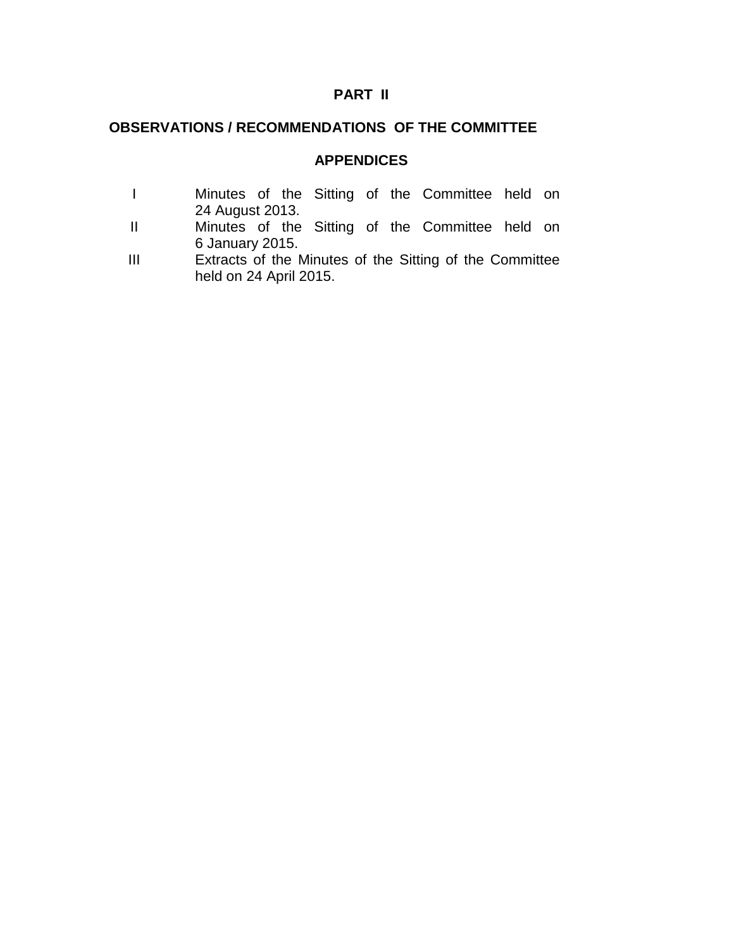# **PART II**

# **OBSERVATIONS / RECOMMENDATIONS OF THE COMMITTEE**

# **APPENDICES**

|                 |  |  | Minutes of the Sitting of the Committee held on |  |
|-----------------|--|--|-------------------------------------------------|--|
| 24 August 2013. |  |  |                                                 |  |

- II Minutes of the Sitting of the Committee held on 6 January 2015.
- III Extracts of the Minutes of the Sitting of the Committee held on 24 April 2015.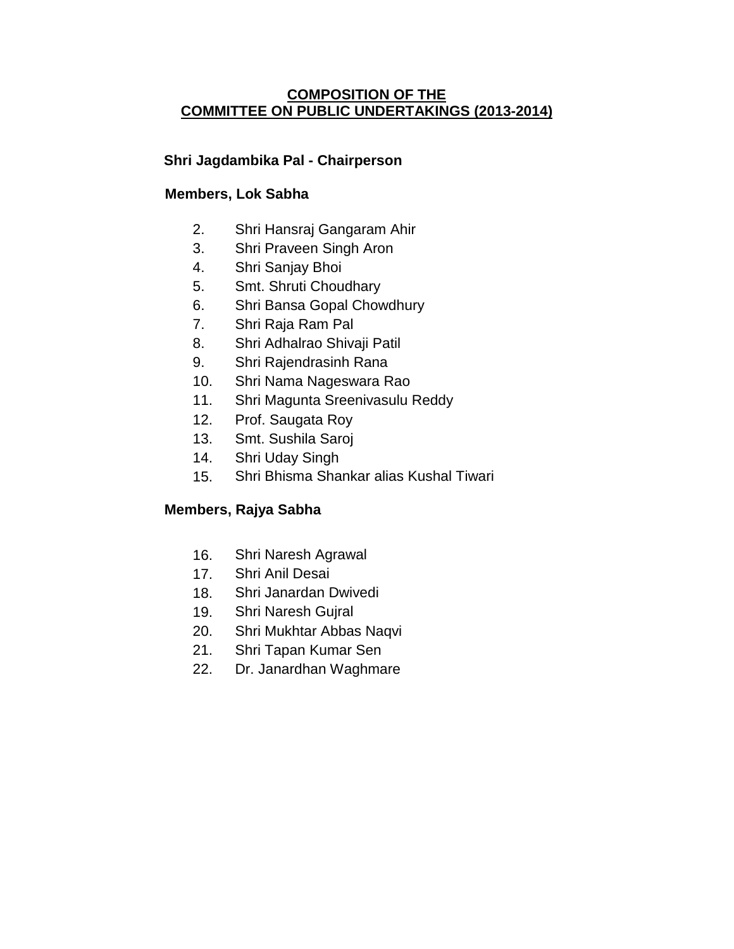# **COMPOSITION OF THE COMMITTEE ON PUBLIC UNDERTAKINGS (2013-2014)**

# **Shri Jagdambika Pal - Chairperson**

# **Members, Lok Sabha**

- 2. Shri Hansraj Gangaram Ahir
- 3. Shri Praveen Singh Aron
- 4. Shri Sanjay Bhoi
- 5. Smt. Shruti Choudhary
- 6. Shri Bansa Gopal Chowdhury
- 7. Shri Raja Ram Pal
- 8. Shri Adhalrao Shivaji Patil
- 9. Shri Rajendrasinh Rana
- 10. Shri Nama Nageswara Rao
- 11. Shri Magunta Sreenivasulu Reddy
- 12. Prof. Saugata Roy
- 13. Smt. Sushila Saroj
- 14. Shri Uday Singh
- 15. Shri Bhisma Shankar alias Kushal Tiwari

# **Members, Rajya Sabha**

- 16. Shri Naresh Agrawal
- 17. Shri Anil Desai
- 18. Shri Janardan Dwivedi
- 19. Shri Naresh Gujral
- 20. Shri Mukhtar Abbas Naqvi
- 21. Shri Tapan Kumar Sen
- 22. Dr. Janardhan Waghmare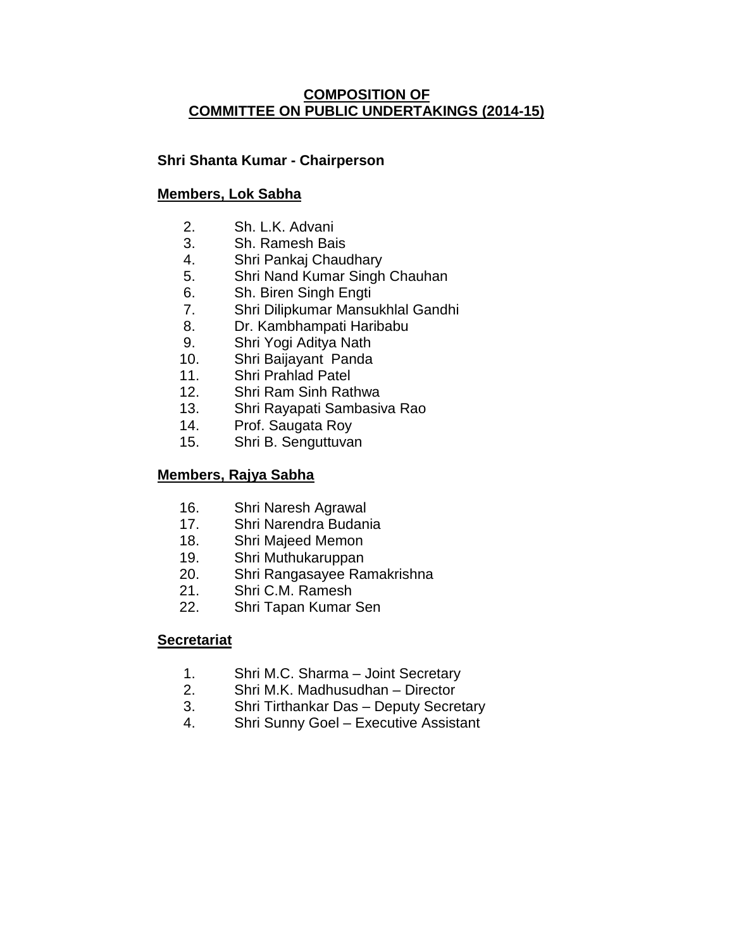# **COMPOSITION OF COMMITTEE ON PUBLIC UNDERTAKINGS (2014-15)**

# **Shri Shanta Kumar - Chairperson**

## **Members, Lok Sabha**

- 2. Sh. L.K. Advani
- 3. Sh. Ramesh Bais
- 4. Shri Pankaj Chaudhary
- 5. Shri Nand Kumar Singh Chauhan
- 6. Sh. Biren Singh Engti
- 7. Shri Dilipkumar Mansukhlal Gandhi
- 8. Dr. Kambhampati Haribabu
- 9. Shri Yogi Aditya Nath
- 10. Shri Baijayant Panda
- 11. Shri Prahlad Patel
- 12. Shri Ram Sinh Rathwa
- 13. Shri Rayapati Sambasiva Rao
- 14. Prof. Saugata Roy
- 15. Shri B. Senguttuvan

## **Members, Rajya Sabha**

- 16. Shri Naresh Agrawal
- 17. Shri Narendra Budania
- 18. Shri Majeed Memon
- 19. Shri Muthukaruppan
- 20. Shri Rangasayee Ramakrishna
- 21. Shri C.M. Ramesh
- 22. Shri Tapan Kumar Sen

#### **Secretariat**

- 1. Shri M.C. Sharma Joint Secretary
- 2. Shri M.K. Madhusudhan Director
- 3. Shri Tirthankar Das Deputy Secretary
- 4. Shri Sunny Goel Executive Assistant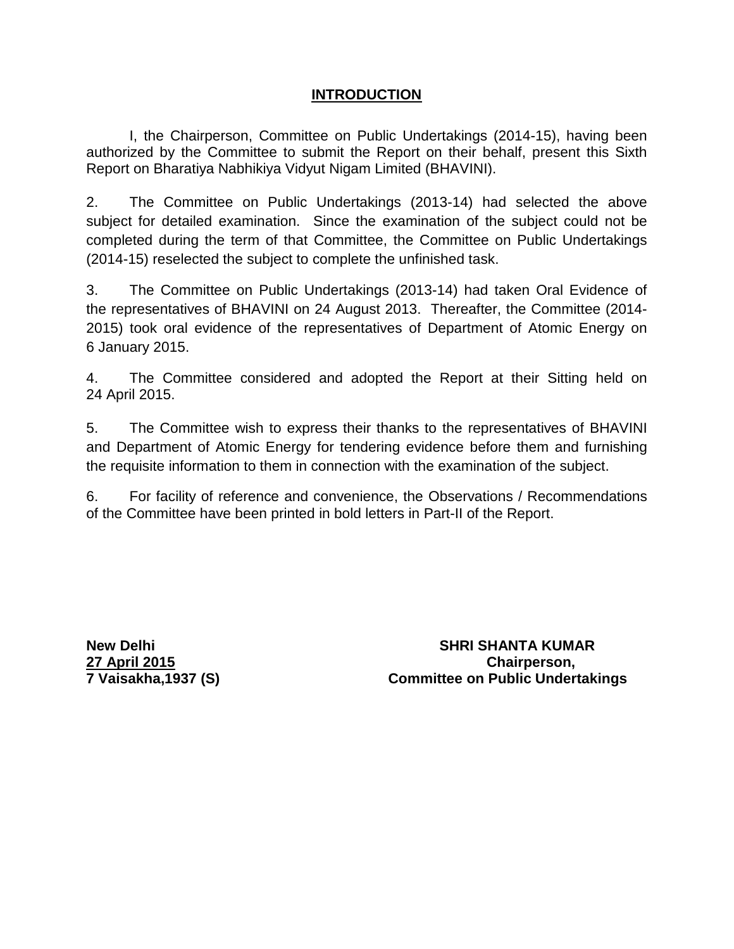# **INTRODUCTION**

I, the Chairperson, Committee on Public Undertakings (2014-15), having been authorized by the Committee to submit the Report on their behalf, present this Sixth Report on Bharatiya Nabhikiya Vidyut Nigam Limited (BHAVINI).

2. The Committee on Public Undertakings (2013-14) had selected the above subject for detailed examination. Since the examination of the subject could not be completed during the term of that Committee, the Committee on Public Undertakings (2014-15) reselected the subject to complete the unfinished task.

3. The Committee on Public Undertakings (2013-14) had taken Oral Evidence of the representatives of BHAVINI on 24 August 2013. Thereafter, the Committee (2014- 2015) took oral evidence of the representatives of Department of Atomic Energy on 6 January 2015.

4. The Committee considered and adopted the Report at their Sitting held on 24 April 2015.

5. The Committee wish to express their thanks to the representatives of BHAVINI and Department of Atomic Energy for tendering evidence before them and furnishing the requisite information to them in connection with the examination of the subject.

6. For facility of reference and convenience, the Observations / Recommendations of the Committee have been printed in bold letters in Part-II of the Report.

**New Delhi SHRI SHANTA KUMAR 27 April 2015 Chairperson, 7 Vaisakha,1937 (S) Committee on Public Undertakings**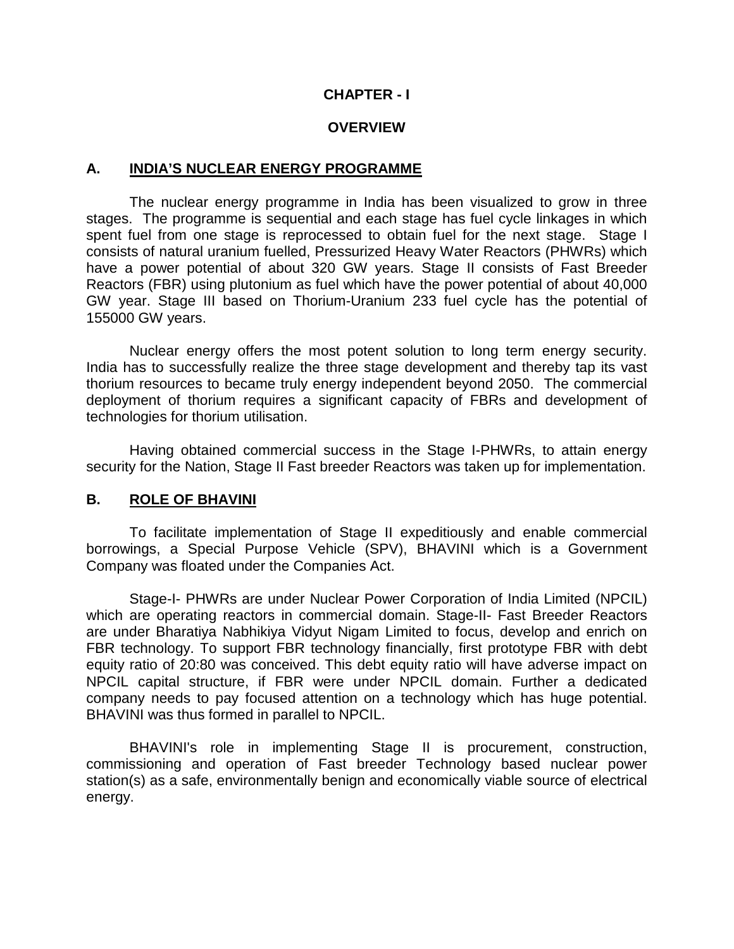### **CHAPTER - I**

#### **OVERVIEW**

#### **A. INDIA'S NUCLEAR ENERGY PROGRAMME**

The nuclear energy programme in India has been visualized to grow in three stages. The programme is sequential and each stage has fuel cycle linkages in which spent fuel from one stage is reprocessed to obtain fuel for the next stage. Stage I consists of natural uranium fuelled, Pressurized Heavy Water Reactors (PHWRs) which have a power potential of about 320 GW years. Stage II consists of Fast Breeder Reactors (FBR) using plutonium as fuel which have the power potential of about 40,000 GW year. Stage III based on Thorium-Uranium 233 fuel cycle has the potential of 155000 GW years.

Nuclear energy offers the most potent solution to long term energy security. India has to successfully realize the three stage development and thereby tap its vast thorium resources to became truly energy independent beyond 2050. The commercial deployment of thorium requires a significant capacity of FBRs and development of technologies for thorium utilisation.

Having obtained commercial success in the Stage I-PHWRs, to attain energy security for the Nation, Stage II Fast breeder Reactors was taken up for implementation.

#### **B. ROLE OF BHAVINI**

To facilitate implementation of Stage II expeditiously and enable commercial borrowings, a Special Purpose Vehicle (SPV), BHAVINI which is a Government Company was floated under the Companies Act.

Stage-I- PHWRs are under Nuclear Power Corporation of India Limited (NPCIL) which are operating reactors in commercial domain. Stage-II- Fast Breeder Reactors are under Bharatiya Nabhikiya Vidyut Nigam Limited to focus, develop and enrich on FBR technology. To support FBR technology financially, first prototype FBR with debt equity ratio of 20:80 was conceived. This debt equity ratio will have adverse impact on NPCIL capital structure, if FBR were under NPCIL domain. Further a dedicated company needs to pay focused attention on a technology which has huge potential. BHAVINI was thus formed in parallel to NPCIL.

BHAVINI's role in implementing Stage II is procurement, construction, commissioning and operation of Fast breeder Technology based nuclear power station(s) as a safe, environmentally benign and economically viable source of electrical energy.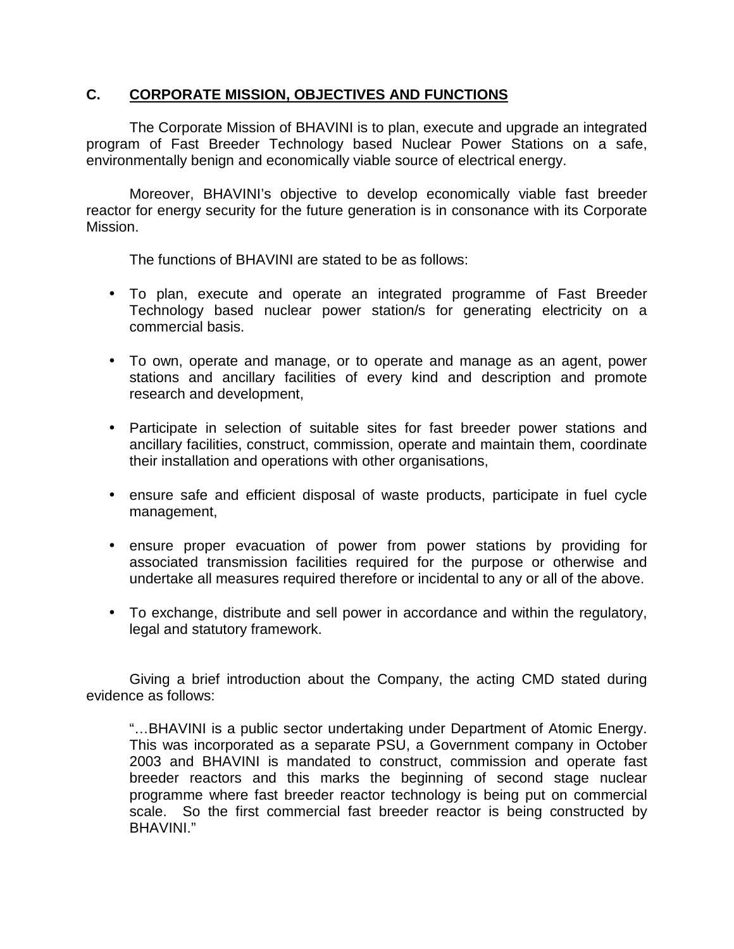# **C. CORPORATE MISSION, OBJECTIVES AND FUNCTIONS**

The Corporate Mission of BHAVINI is to plan, execute and upgrade an integrated program of Fast Breeder Technology based Nuclear Power Stations on a safe, environmentally benign and economically viable source of electrical energy.

Moreover, BHAVINI's objective to develop economically viable fast breeder reactor for energy security for the future generation is in consonance with its Corporate Mission.

The functions of BHAVINI are stated to be as follows:

- To plan, execute and operate an integrated programme of Fast Breeder Technology based nuclear power station/s for generating electricity on a commercial basis.
- To own, operate and manage, or to operate and manage as an agent, power stations and ancillary facilities of every kind and description and promote research and development,
- Participate in selection of suitable sites for fast breeder power stations and ancillary facilities, construct, commission, operate and maintain them, coordinate their installation and operations with other organisations,
- ensure safe and efficient disposal of waste products, participate in fuel cycle management,
- ensure proper evacuation of power from power stations by providing for associated transmission facilities required for the purpose or otherwise and undertake all measures required therefore or incidental to any or all of the above.
- To exchange, distribute and sell power in accordance and within the regulatory, legal and statutory framework.

 Giving a brief introduction about the Company, the acting CMD stated during evidence as follows:

"…BHAVINI is a public sector undertaking under Department of Atomic Energy. This was incorporated as a separate PSU, a Government company in October 2003 and BHAVINI is mandated to construct, commission and operate fast breeder reactors and this marks the beginning of second stage nuclear programme where fast breeder reactor technology is being put on commercial scale. So the first commercial fast breeder reactor is being constructed by BHAVINI."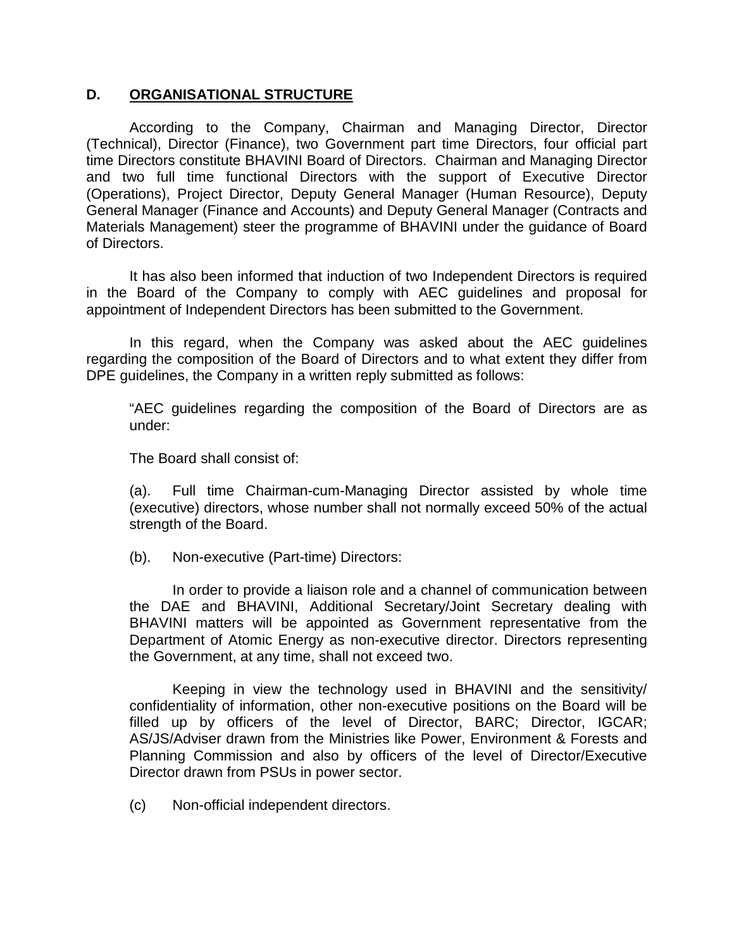# **D. ORGANISATIONAL STRUCTURE**

 According to the Company, Chairman and Managing Director, Director (Technical), Director (Finance), two Government part time Directors, four official part time Directors constitute BHAVINI Board of Directors. Chairman and Managing Director and two full time functional Directors with the support of Executive Director (Operations), Project Director, Deputy General Manager (Human Resource), Deputy General Manager (Finance and Accounts) and Deputy General Manager (Contracts and Materials Management) steer the programme of BHAVINI under the guidance of Board of Directors.

It has also been informed that induction of two Independent Directors is required in the Board of the Company to comply with AEC guidelines and proposal for appointment of Independent Directors has been submitted to the Government.

In this regard, when the Company was asked about the AEC guidelines regarding the composition of the Board of Directors and to what extent they differ from DPE guidelines, the Company in a written reply submitted as follows:

"AEC guidelines regarding the composition of the Board of Directors are as under:

The Board shall consist of:

(a). Full time Chairman-cum-Managing Director assisted by whole time (executive) directors, whose number shall not normally exceed 50% of the actual strength of the Board.

(b). Non-executive (Part-time) Directors:

In order to provide a liaison role and a channel of communication between the DAE and BHAVINI, Additional Secretary/Joint Secretary dealing with BHAVINI matters will be appointed as Government representative from the Department of Atomic Energy as non-executive director. Directors representing the Government, at any time, shall not exceed two.

Keeping in view the technology used in BHAVINI and the sensitivity/ confidentiality of information, other non-executive positions on the Board will be filled up by officers of the level of Director, BARC; Director, IGCAR; AS/JS/Adviser drawn from the Ministries like Power, Environment & Forests and Planning Commission and also by officers of the level of Director/Executive Director drawn from PSUs in power sector.

(c) Non-official independent directors.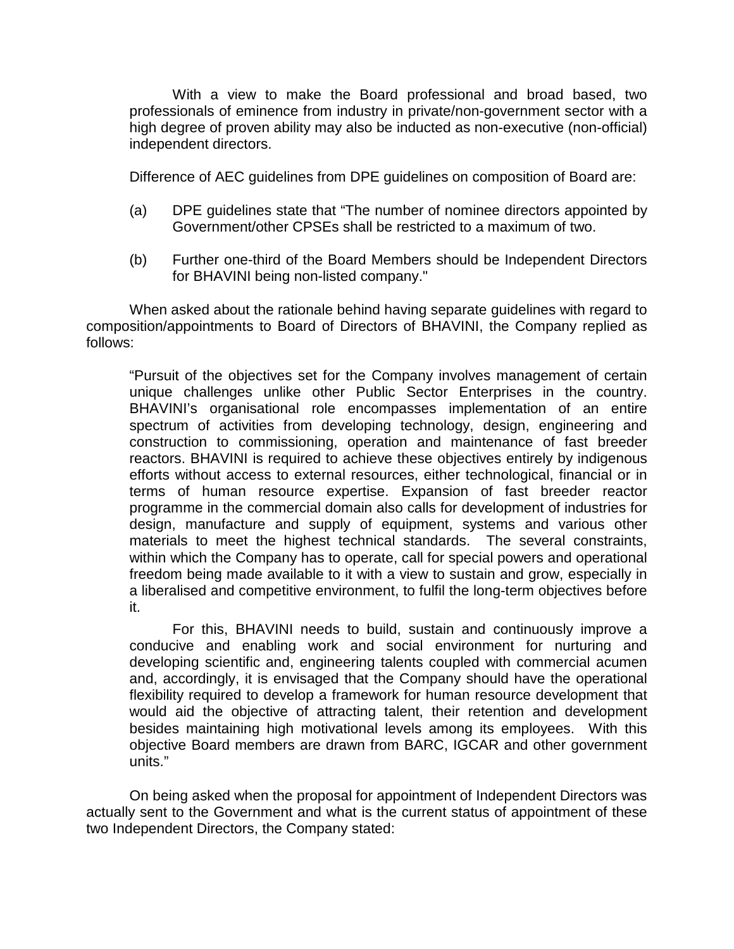With a view to make the Board professional and broad based, two professionals of eminence from industry in private/non-government sector with a high degree of proven ability may also be inducted as non-executive (non-official) independent directors.

Difference of AEC guidelines from DPE guidelines on composition of Board are:

- (a) DPE guidelines state that "The number of nominee directors appointed by Government/other CPSEs shall be restricted to a maximum of two.
- (b) Further one-third of the Board Members should be Independent Directors for BHAVINI being non-listed company."

When asked about the rationale behind having separate guidelines with regard to composition/appointments to Board of Directors of BHAVINI, the Company replied as follows:

"Pursuit of the objectives set for the Company involves management of certain unique challenges unlike other Public Sector Enterprises in the country. BHAVINI's organisational role encompasses implementation of an entire spectrum of activities from developing technology, design, engineering and construction to commissioning, operation and maintenance of fast breeder reactors. BHAVINI is required to achieve these objectives entirely by indigenous efforts without access to external resources, either technological, financial or in terms of human resource expertise. Expansion of fast breeder reactor programme in the commercial domain also calls for development of industries for design, manufacture and supply of equipment, systems and various other materials to meet the highest technical standards. The several constraints, within which the Company has to operate, call for special powers and operational freedom being made available to it with a view to sustain and grow, especially in a liberalised and competitive environment, to fulfil the long-term objectives before it.

For this, BHAVINI needs to build, sustain and continuously improve a conducive and enabling work and social environment for nurturing and developing scientific and, engineering talents coupled with commercial acumen and, accordingly, it is envisaged that the Company should have the operational flexibility required to develop a framework for human resource development that would aid the objective of attracting talent, their retention and development besides maintaining high motivational levels among its employees. With this objective Board members are drawn from BARC, IGCAR and other government units."

On being asked when the proposal for appointment of Independent Directors was actually sent to the Government and what is the current status of appointment of these two Independent Directors, the Company stated: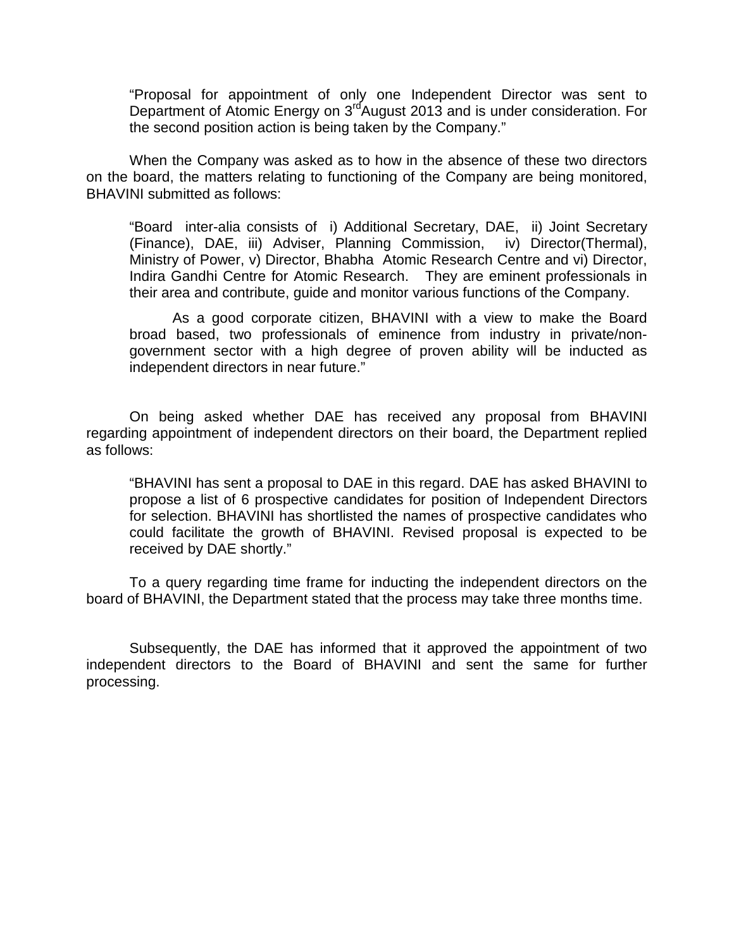"Proposal for appointment of only one Independent Director was sent to Department of Atomic Energy on 3<sup>rd</sup>August 2013 and is under consideration. For the second position action is being taken by the Company."

When the Company was asked as to how in the absence of these two directors on the board, the matters relating to functioning of the Company are being monitored, BHAVINI submitted as follows:

"Board inter-alia consists of i) Additional Secretary, DAE, ii) Joint Secretary (Finance), DAE, iii) Adviser, Planning Commission, iv) Director(Thermal), Ministry of Power, v) Director, Bhabha Atomic Research Centre and vi) Director, Indira Gandhi Centre for Atomic Research. They are eminent professionals in their area and contribute, guide and monitor various functions of the Company.

As a good corporate citizen, BHAVINI with a view to make the Board broad based, two professionals of eminence from industry in private/nongovernment sector with a high degree of proven ability will be inducted as independent directors in near future."

On being asked whether DAE has received any proposal from BHAVINI regarding appointment of independent directors on their board, the Department replied as follows:

"BHAVINI has sent a proposal to DAE in this regard. DAE has asked BHAVINI to propose a list of 6 prospective candidates for position of Independent Directors for selection. BHAVINI has shortlisted the names of prospective candidates who could facilitate the growth of BHAVINI. Revised proposal is expected to be received by DAE shortly."

To a query regarding time frame for inducting the independent directors on the board of BHAVINI, the Department stated that the process may take three months time.

Subsequently, the DAE has informed that it approved the appointment of two independent directors to the Board of BHAVINI and sent the same for further processing.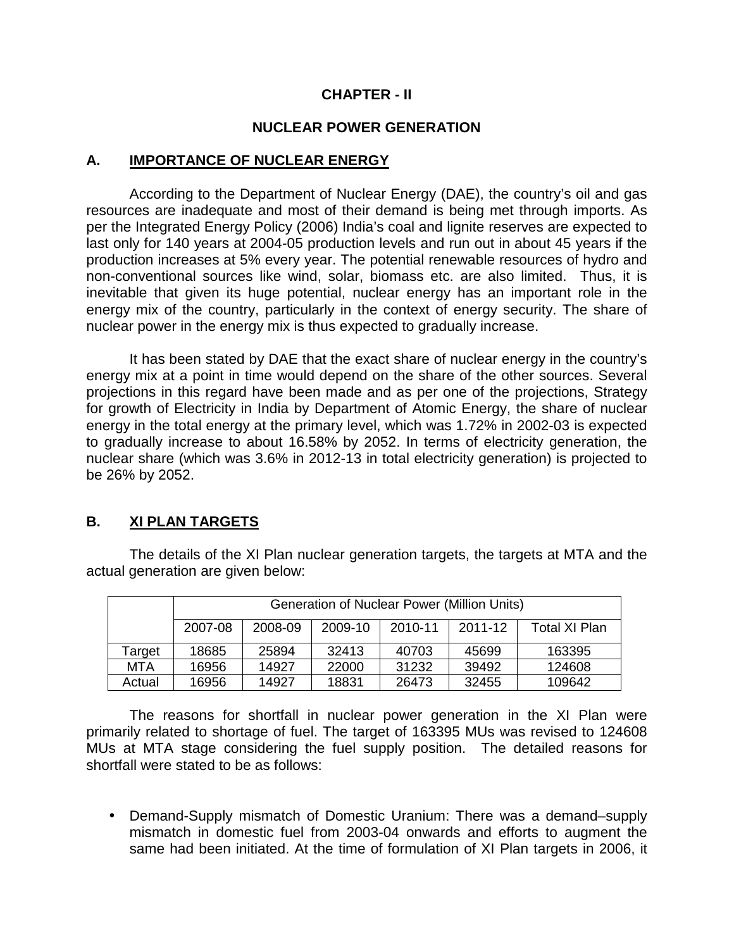# **CHAPTER - II**

# **NUCLEAR POWER GENERATION**

### **A. IMPORTANCE OF NUCLEAR ENERGY**

According to the Department of Nuclear Energy (DAE), the country's oil and gas resources are inadequate and most of their demand is being met through imports. As per the Integrated Energy Policy (2006) India's coal and lignite reserves are expected to last only for 140 years at 2004-05 production levels and run out in about 45 years if the production increases at 5% every year. The potential renewable resources of hydro and non-conventional sources like wind, solar, biomass etc. are also limited. Thus, it is inevitable that given its huge potential, nuclear energy has an important role in the energy mix of the country, particularly in the context of energy security. The share of nuclear power in the energy mix is thus expected to gradually increase.

It has been stated by DAE that the exact share of nuclear energy in the country's energy mix at a point in time would depend on the share of the other sources. Several projections in this regard have been made and as per one of the projections, Strategy for growth of Electricity in India by Department of Atomic Energy, the share of nuclear energy in the total energy at the primary level, which was 1.72% in 2002-03 is expected to gradually increase to about 16.58% by 2052. In terms of electricity generation, the nuclear share (which was 3.6% in 2012-13 in total electricity generation) is projected to be 26% by 2052.

# **B. XI PLAN TARGETS**

The details of the XI Plan nuclear generation targets, the targets at MTA and the actual generation are given below:

|        | <b>Generation of Nuclear Power (Million Units)</b> |         |         |         |         |               |  |
|--------|----------------------------------------------------|---------|---------|---------|---------|---------------|--|
|        | 2007-08                                            | 2008-09 | 2009-10 | 2010-11 | 2011-12 | Total XI Plan |  |
| Target | 18685                                              | 25894   | 32413   | 40703   | 45699   | 163395        |  |
| MTA    | 16956                                              | 14927   | 22000   | 31232   | 39492   | 124608        |  |
| Actual | 16956                                              | 14927   | 18831   | 26473   | 32455   | 109642        |  |

The reasons for shortfall in nuclear power generation in the XI Plan were primarily related to shortage of fuel. The target of 163395 MUs was revised to 124608 MUs at MTA stage considering the fuel supply position. The detailed reasons for shortfall were stated to be as follows:

• Demand-Supply mismatch of Domestic Uranium: There was a demand–supply mismatch in domestic fuel from 2003-04 onwards and efforts to augment the same had been initiated. At the time of formulation of XI Plan targets in 2006, it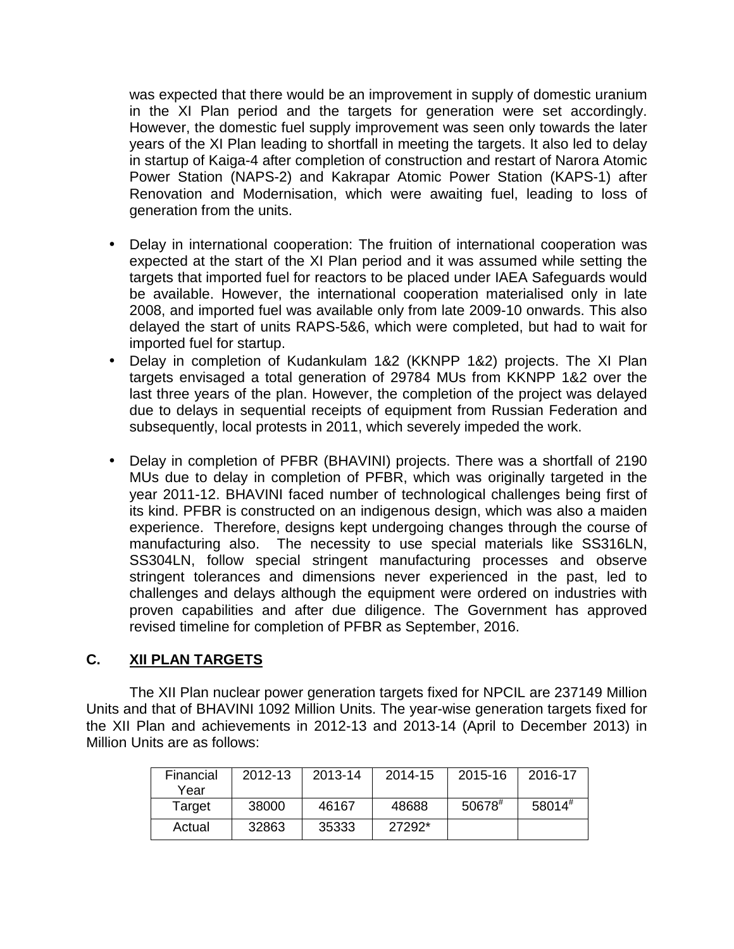was expected that there would be an improvement in supply of domestic uranium in the XI Plan period and the targets for generation were set accordingly. However, the domestic fuel supply improvement was seen only towards the later years of the XI Plan leading to shortfall in meeting the targets. It also led to delay in startup of Kaiga-4 after completion of construction and restart of Narora Atomic Power Station (NAPS-2) and Kakrapar Atomic Power Station (KAPS-1) after Renovation and Modernisation, which were awaiting fuel, leading to loss of generation from the units.

- Delay in international cooperation: The fruition of international cooperation was expected at the start of the XI Plan period and it was assumed while setting the targets that imported fuel for reactors to be placed under IAEA Safeguards would be available. However, the international cooperation materialised only in late 2008, and imported fuel was available only from late 2009-10 onwards. This also delayed the start of units RAPS-5&6, which were completed, but had to wait for imported fuel for startup.
- Delay in completion of Kudankulam 1&2 (KKNPP 1&2) projects. The XI Plan targets envisaged a total generation of 29784 MUs from KKNPP 1&2 over the last three years of the plan. However, the completion of the project was delayed due to delays in sequential receipts of equipment from Russian Federation and subsequently, local protests in 2011, which severely impeded the work.
- Delay in completion of PFBR (BHAVINI) projects. There was a shortfall of 2190 MUs due to delay in completion of PFBR, which was originally targeted in the year 2011-12. BHAVINI faced number of technological challenges being first of its kind. PFBR is constructed on an indigenous design, which was also a maiden experience. Therefore, designs kept undergoing changes through the course of manufacturing also. The necessity to use special materials like SS316LN, SS304LN, follow special stringent manufacturing processes and observe stringent tolerances and dimensions never experienced in the past, led to challenges and delays although the equipment were ordered on industries with proven capabilities and after due diligence. The Government has approved revised timeline for completion of PFBR as September, 2016.

## **C. XII PLAN TARGETS**

The XII Plan nuclear power generation targets fixed for NPCIL are 237149 Million Units and that of BHAVINI 1092 Million Units. The year-wise generation targets fixed for the XII Plan and achievements in 2012-13 and 2013-14 (April to December 2013) in Million Units are as follows:

| Financial<br>Year | 2012-13 | 2013-14 | 2014-15 | 2015-16              | 2016-17     |
|-------------------|---------|---------|---------|----------------------|-------------|
| Target            | 38000   | 46167   | 48688   | $50678$ <sup>#</sup> | $58014^{#}$ |
| Actual            | 32863   | 35333   | 27292*  |                      |             |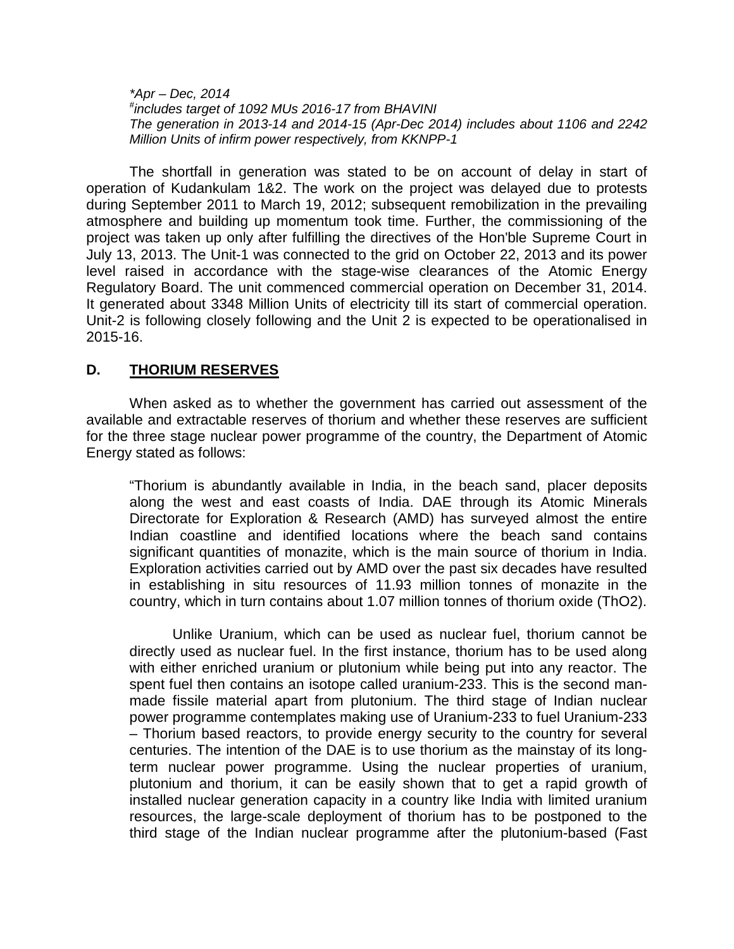$*Apr - Dec. 2014$ # includes target of 1092 MUs 2016-17 from BHAVINI The generation in 2013-14 and 2014-15 (Apr-Dec 2014) includes about 1106 and 2242 Million Units of infirm power respectively, from KKNPP-1

The shortfall in generation was stated to be on account of delay in start of operation of Kudankulam 1&2. The work on the project was delayed due to protests during September 2011 to March 19, 2012; subsequent remobilization in the prevailing atmosphere and building up momentum took time. Further, the commissioning of the project was taken up only after fulfilling the directives of the Hon'ble Supreme Court in July 13, 2013. The Unit-1 was connected to the grid on October 22, 2013 and its power level raised in accordance with the stage-wise clearances of the Atomic Energy Regulatory Board. The unit commenced commercial operation on December 31, 2014. It generated about 3348 Million Units of electricity till its start of commercial operation. Unit-2 is following closely following and the Unit 2 is expected to be operationalised in 2015-16.

### **D. THORIUM RESERVES**

When asked as to whether the government has carried out assessment of the available and extractable reserves of thorium and whether these reserves are sufficient for the three stage nuclear power programme of the country, the Department of Atomic Energy stated as follows:

"Thorium is abundantly available in India, in the beach sand, placer deposits along the west and east coasts of India. DAE through its Atomic Minerals Directorate for Exploration & Research (AMD) has surveyed almost the entire Indian coastline and identified locations where the beach sand contains significant quantities of monazite, which is the main source of thorium in India. Exploration activities carried out by AMD over the past six decades have resulted in establishing in situ resources of 11.93 million tonnes of monazite in the country, which in turn contains about 1.07 million tonnes of thorium oxide (ThO2).

Unlike Uranium, which can be used as nuclear fuel, thorium cannot be directly used as nuclear fuel. In the first instance, thorium has to be used along with either enriched uranium or plutonium while being put into any reactor. The spent fuel then contains an isotope called uranium-233. This is the second manmade fissile material apart from plutonium. The third stage of Indian nuclear power programme contemplates making use of Uranium-233 to fuel Uranium-233 – Thorium based reactors, to provide energy security to the country for several centuries. The intention of the DAE is to use thorium as the mainstay of its longterm nuclear power programme. Using the nuclear properties of uranium, plutonium and thorium, it can be easily shown that to get a rapid growth of installed nuclear generation capacity in a country like India with limited uranium resources, the large-scale deployment of thorium has to be postponed to the third stage of the Indian nuclear programme after the plutonium-based (Fast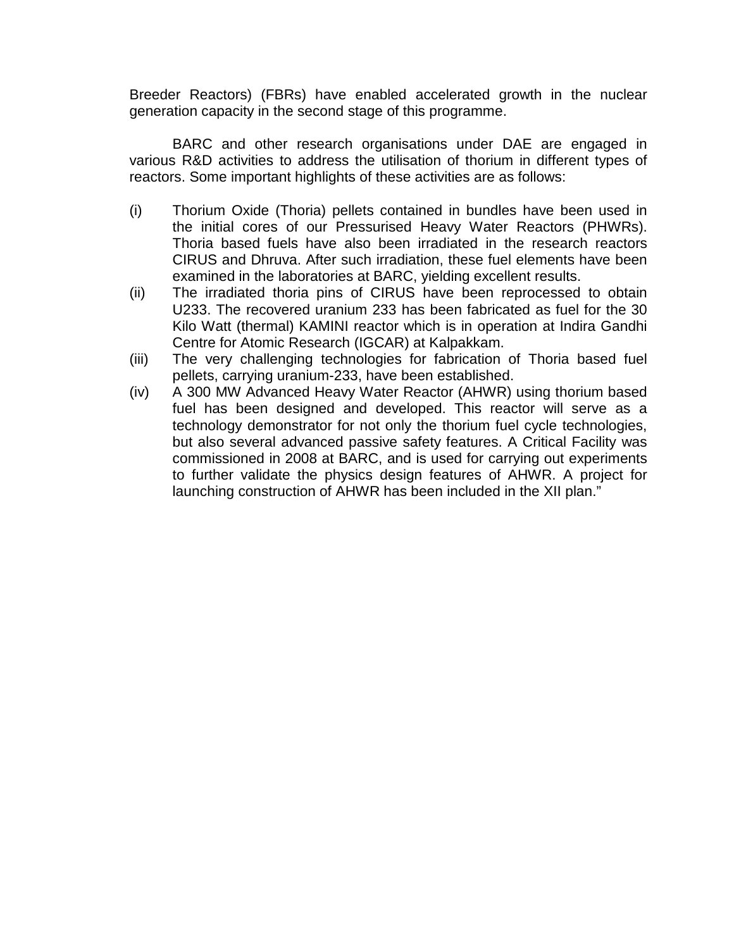Breeder Reactors) (FBRs) have enabled accelerated growth in the nuclear generation capacity in the second stage of this programme.

BARC and other research organisations under DAE are engaged in various R&D activities to address the utilisation of thorium in different types of reactors. Some important highlights of these activities are as follows:

- (i) Thorium Oxide (Thoria) pellets contained in bundles have been used in the initial cores of our Pressurised Heavy Water Reactors (PHWRs). Thoria based fuels have also been irradiated in the research reactors CIRUS and Dhruva. After such irradiation, these fuel elements have been examined in the laboratories at BARC, yielding excellent results.
- (ii) The irradiated thoria pins of CIRUS have been reprocessed to obtain U233. The recovered uranium 233 has been fabricated as fuel for the 30 Kilo Watt (thermal) KAMINI reactor which is in operation at Indira Gandhi Centre for Atomic Research (IGCAR) at Kalpakkam.
- (iii) The very challenging technologies for fabrication of Thoria based fuel pellets, carrying uranium-233, have been established.
- (iv) A 300 MW Advanced Heavy Water Reactor (AHWR) using thorium based fuel has been designed and developed. This reactor will serve as a technology demonstrator for not only the thorium fuel cycle technologies, but also several advanced passive safety features. A Critical Facility was commissioned in 2008 at BARC, and is used for carrying out experiments to further validate the physics design features of AHWR. A project for launching construction of AHWR has been included in the XII plan."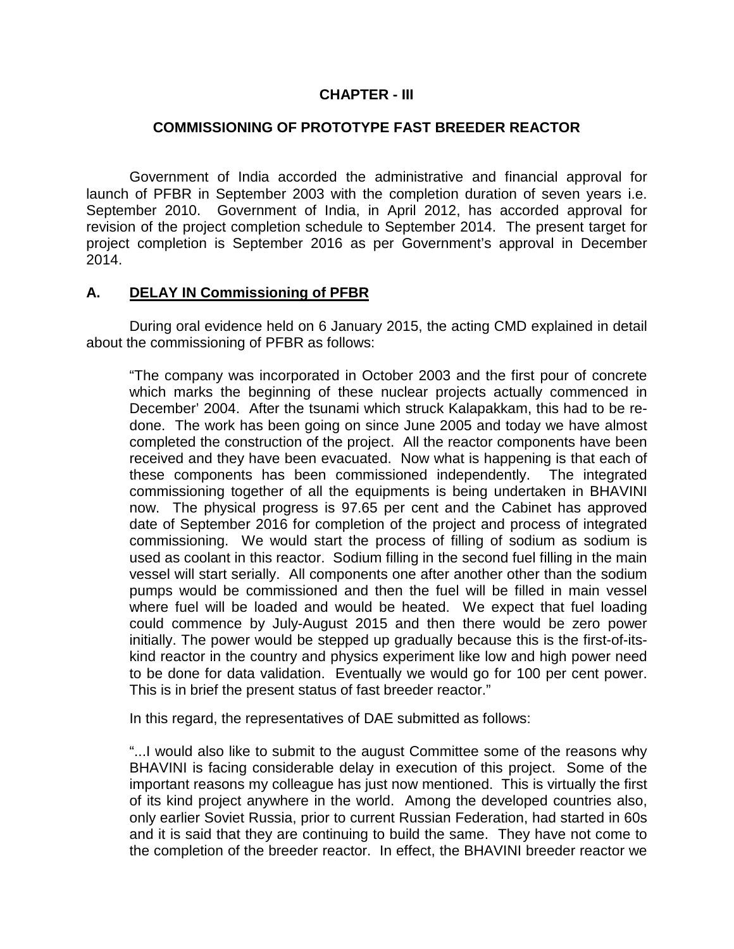### **CHAPTER - III**

### **COMMISSIONING OF PROTOTYPE FAST BREEDER REACTOR**

 Government of India accorded the administrative and financial approval for launch of PFBR in September 2003 with the completion duration of seven years i.e. September 2010. Government of India, in April 2012, has accorded approval for revision of the project completion schedule to September 2014. The present target for project completion is September 2016 as per Government's approval in December 2014.

#### **A. DELAY IN Commissioning of PFBR**

 During oral evidence held on 6 January 2015, the acting CMD explained in detail about the commissioning of PFBR as follows:

"The company was incorporated in October 2003 and the first pour of concrete which marks the beginning of these nuclear projects actually commenced in December' 2004. After the tsunami which struck Kalapakkam, this had to be redone. The work has been going on since June 2005 and today we have almost completed the construction of the project. All the reactor components have been received and they have been evacuated. Now what is happening is that each of these components has been commissioned independently. The integrated commissioning together of all the equipments is being undertaken in BHAVINI now. The physical progress is 97.65 per cent and the Cabinet has approved date of September 2016 for completion of the project and process of integrated commissioning. We would start the process of filling of sodium as sodium is used as coolant in this reactor. Sodium filling in the second fuel filling in the main vessel will start serially. All components one after another other than the sodium pumps would be commissioned and then the fuel will be filled in main vessel where fuel will be loaded and would be heated. We expect that fuel loading could commence by July-August 2015 and then there would be zero power initially. The power would be stepped up gradually because this is the first-of-itskind reactor in the country and physics experiment like low and high power need to be done for data validation. Eventually we would go for 100 per cent power. This is in brief the present status of fast breeder reactor."

In this regard, the representatives of DAE submitted as follows:

"...I would also like to submit to the august Committee some of the reasons why BHAVINI is facing considerable delay in execution of this project. Some of the important reasons my colleague has just now mentioned. This is virtually the first of its kind project anywhere in the world. Among the developed countries also, only earlier Soviet Russia, prior to current Russian Federation, had started in 60s and it is said that they are continuing to build the same. They have not come to the completion of the breeder reactor. In effect, the BHAVINI breeder reactor we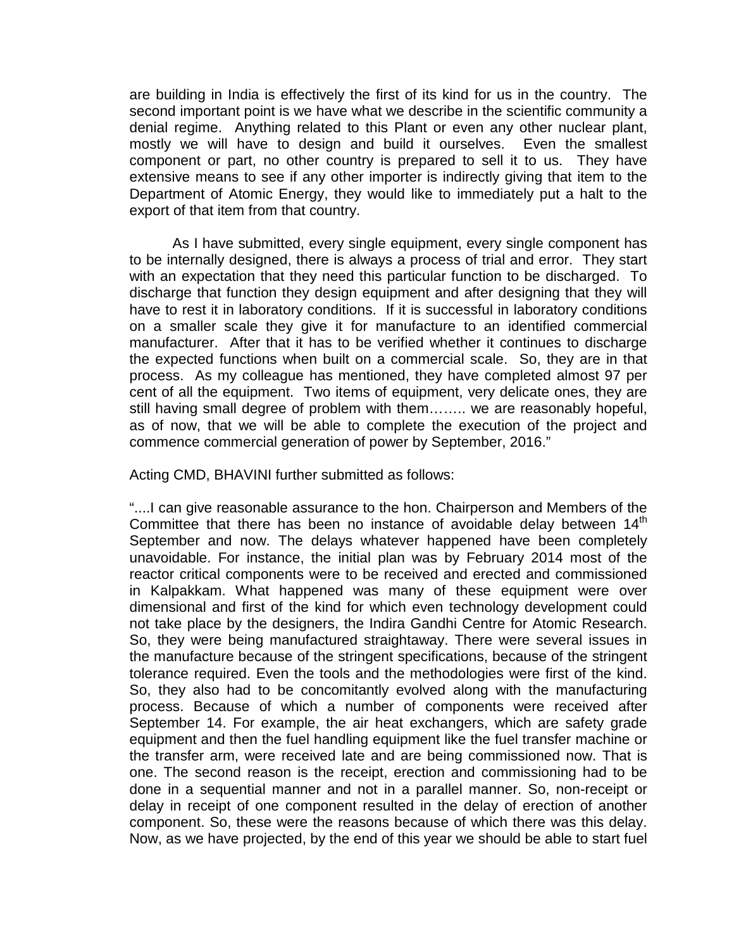are building in India is effectively the first of its kind for us in the country. The second important point is we have what we describe in the scientific community a denial regime. Anything related to this Plant or even any other nuclear plant, mostly we will have to design and build it ourselves. Even the smallest component or part, no other country is prepared to sell it to us. They have extensive means to see if any other importer is indirectly giving that item to the Department of Atomic Energy, they would like to immediately put a halt to the export of that item from that country.

As I have submitted, every single equipment, every single component has to be internally designed, there is always a process of trial and error. They start with an expectation that they need this particular function to be discharged. To discharge that function they design equipment and after designing that they will have to rest it in laboratory conditions. If it is successful in laboratory conditions on a smaller scale they give it for manufacture to an identified commercial manufacturer. After that it has to be verified whether it continues to discharge the expected functions when built on a commercial scale. So, they are in that process. As my colleague has mentioned, they have completed almost 97 per cent of all the equipment. Two items of equipment, very delicate ones, they are still having small degree of problem with them…….. we are reasonably hopeful, as of now, that we will be able to complete the execution of the project and commence commercial generation of power by September, 2016."

Acting CMD, BHAVINI further submitted as follows:

"....I can give reasonable assurance to the hon. Chairperson and Members of the Committee that there has been no instance of avoidable delay between  $14<sup>th</sup>$ September and now. The delays whatever happened have been completely unavoidable. For instance, the initial plan was by February 2014 most of the reactor critical components were to be received and erected and commissioned in Kalpakkam. What happened was many of these equipment were over dimensional and first of the kind for which even technology development could not take place by the designers, the Indira Gandhi Centre for Atomic Research. So, they were being manufactured straightaway. There were several issues in the manufacture because of the stringent specifications, because of the stringent tolerance required. Even the tools and the methodologies were first of the kind. So, they also had to be concomitantly evolved along with the manufacturing process. Because of which a number of components were received after September 14. For example, the air heat exchangers, which are safety grade equipment and then the fuel handling equipment like the fuel transfer machine or the transfer arm, were received late and are being commissioned now. That is one. The second reason is the receipt, erection and commissioning had to be done in a sequential manner and not in a parallel manner. So, non-receipt or delay in receipt of one component resulted in the delay of erection of another component. So, these were the reasons because of which there was this delay. Now, as we have projected, by the end of this year we should be able to start fuel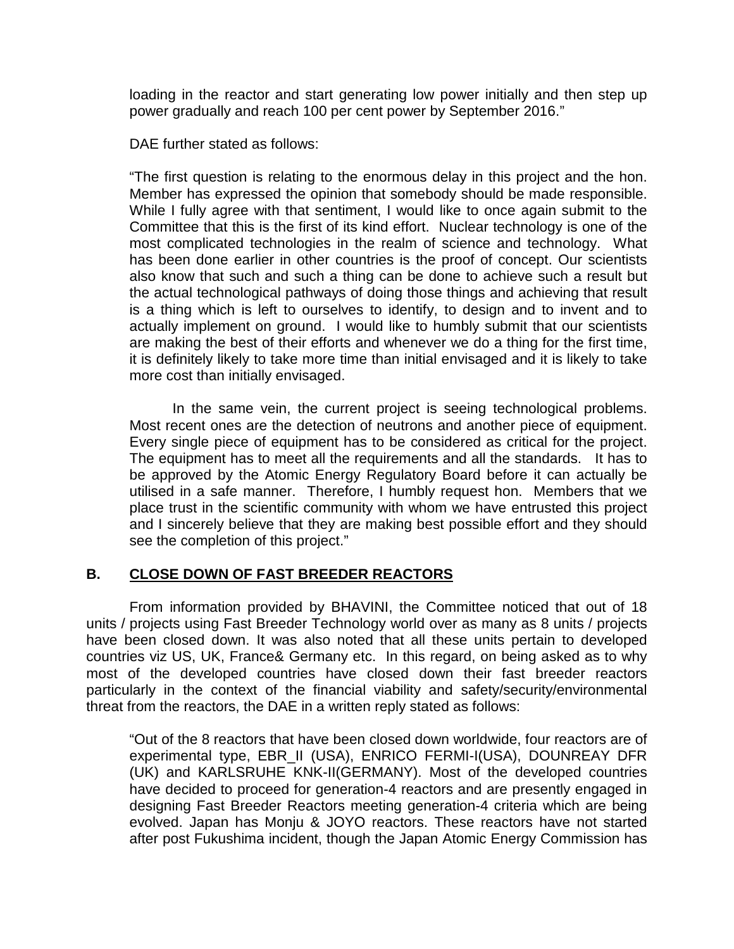loading in the reactor and start generating low power initially and then step up power gradually and reach 100 per cent power by September 2016."

DAE further stated as follows:

"The first question is relating to the enormous delay in this project and the hon. Member has expressed the opinion that somebody should be made responsible. While I fully agree with that sentiment, I would like to once again submit to the Committee that this is the first of its kind effort. Nuclear technology is one of the most complicated technologies in the realm of science and technology. What has been done earlier in other countries is the proof of concept. Our scientists also know that such and such a thing can be done to achieve such a result but the actual technological pathways of doing those things and achieving that result is a thing which is left to ourselves to identify, to design and to invent and to actually implement on ground. I would like to humbly submit that our scientists are making the best of their efforts and whenever we do a thing for the first time, it is definitely likely to take more time than initial envisaged and it is likely to take more cost than initially envisaged.

 In the same vein, the current project is seeing technological problems. Most recent ones are the detection of neutrons and another piece of equipment. Every single piece of equipment has to be considered as critical for the project. The equipment has to meet all the requirements and all the standards. It has to be approved by the Atomic Energy Regulatory Board before it can actually be utilised in a safe manner. Therefore, I humbly request hon. Members that we place trust in the scientific community with whom we have entrusted this project and I sincerely believe that they are making best possible effort and they should see the completion of this project."

## **B. CLOSE DOWN OF FAST BREEDER REACTORS**

From information provided by BHAVINI, the Committee noticed that out of 18 units / projects using Fast Breeder Technology world over as many as 8 units / projects have been closed down. It was also noted that all these units pertain to developed countries viz US, UK, France& Germany etc. In this regard, on being asked as to why most of the developed countries have closed down their fast breeder reactors particularly in the context of the financial viability and safety/security/environmental threat from the reactors, the DAE in a written reply stated as follows:

"Out of the 8 reactors that have been closed down worldwide, four reactors are of experimental type, EBR\_II (USA), ENRICO FERMI-I(USA), DOUNREAY DFR (UK) and KARLSRUHE KNK-II(GERMANY). Most of the developed countries have decided to proceed for generation-4 reactors and are presently engaged in designing Fast Breeder Reactors meeting generation-4 criteria which are being evolved. Japan has Monju & JOYO reactors. These reactors have not started after post Fukushima incident, though the Japan Atomic Energy Commission has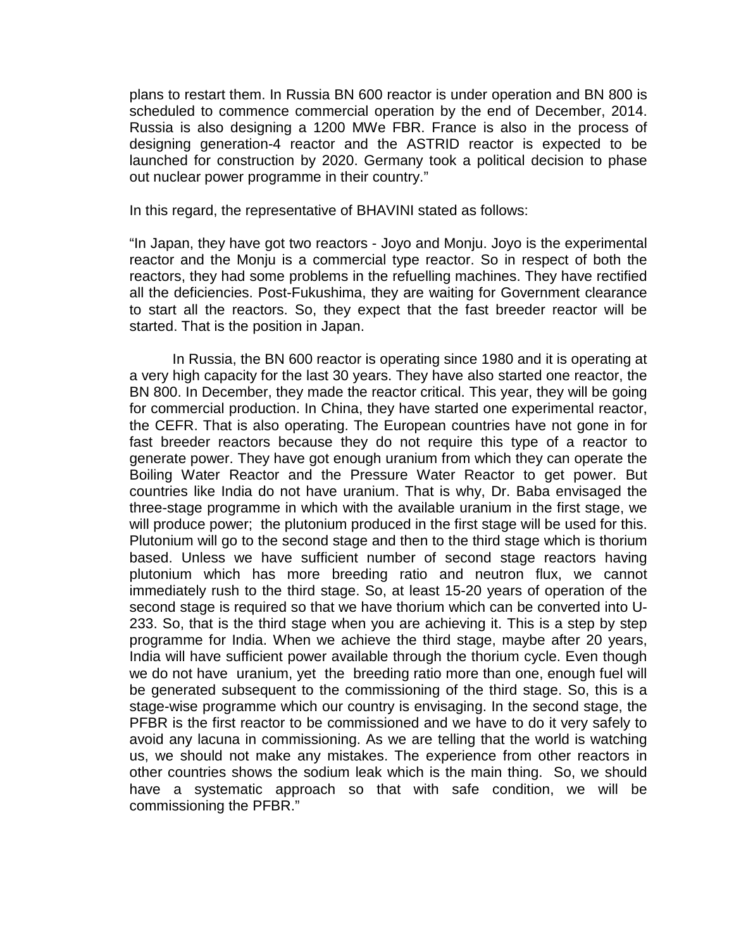plans to restart them. In Russia BN 600 reactor is under operation and BN 800 is scheduled to commence commercial operation by the end of December, 2014. Russia is also designing a 1200 MWe FBR. France is also in the process of designing generation-4 reactor and the ASTRID reactor is expected to be launched for construction by 2020. Germany took a political decision to phase out nuclear power programme in their country."

In this regard, the representative of BHAVINI stated as follows:

"In Japan, they have got two reactors - Joyo and Monju. Joyo is the experimental reactor and the Monju is a commercial type reactor. So in respect of both the reactors, they had some problems in the refuelling machines. They have rectified all the deficiencies. Post-Fukushima, they are waiting for Government clearance to start all the reactors. So, they expect that the fast breeder reactor will be started. That is the position in Japan.

 In Russia, the BN 600 reactor is operating since 1980 and it is operating at a very high capacity for the last 30 years. They have also started one reactor, the BN 800. In December, they made the reactor critical. This year, they will be going for commercial production. In China, they have started one experimental reactor, the CEFR. That is also operating. The European countries have not gone in for fast breeder reactors because they do not require this type of a reactor to generate power. They have got enough uranium from which they can operate the Boiling Water Reactor and the Pressure Water Reactor to get power. But countries like India do not have uranium. That is why, Dr. Baba envisaged the three-stage programme in which with the available uranium in the first stage, we will produce power; the plutonium produced in the first stage will be used for this. Plutonium will go to the second stage and then to the third stage which is thorium based. Unless we have sufficient number of second stage reactors having plutonium which has more breeding ratio and neutron flux, we cannot immediately rush to the third stage. So, at least 15-20 years of operation of the second stage is required so that we have thorium which can be converted into U-233. So, that is the third stage when you are achieving it. This is a step by step programme for India. When we achieve the third stage, maybe after 20 years, India will have sufficient power available through the thorium cycle. Even though we do not have uranium, yet the breeding ratio more than one, enough fuel will be generated subsequent to the commissioning of the third stage. So, this is a stage-wise programme which our country is envisaging. In the second stage, the PFBR is the first reactor to be commissioned and we have to do it very safely to avoid any lacuna in commissioning. As we are telling that the world is watching us, we should not make any mistakes. The experience from other reactors in other countries shows the sodium leak which is the main thing. So, we should have a systematic approach so that with safe condition, we will be commissioning the PFBR."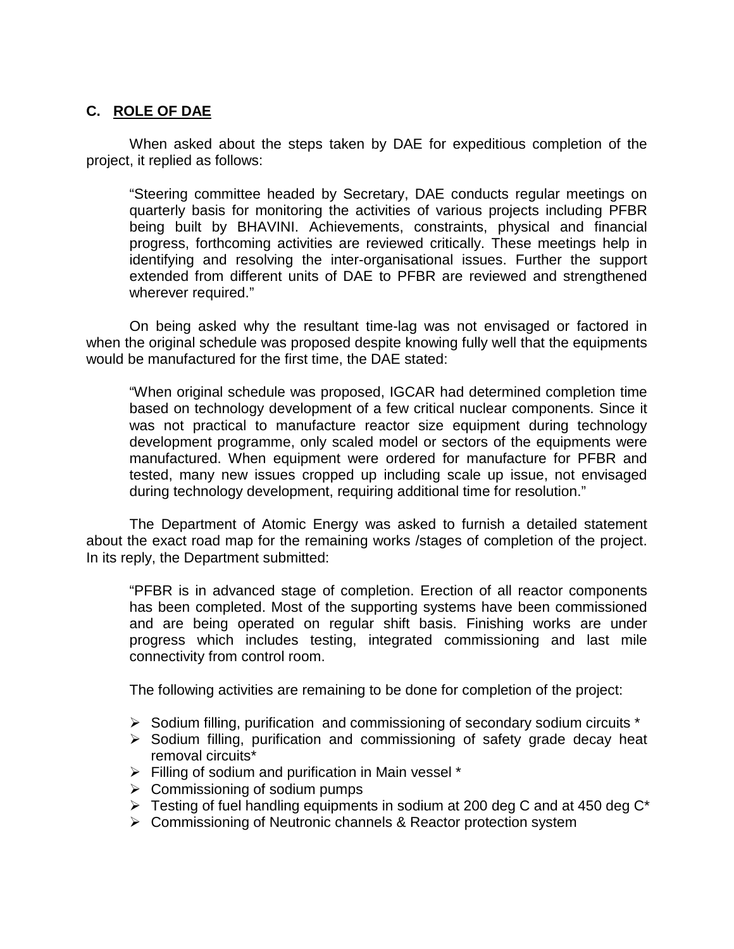# **C. ROLE OF DAE**

When asked about the steps taken by DAE for expeditious completion of the project, it replied as follows:

"Steering committee headed by Secretary, DAE conducts regular meetings on quarterly basis for monitoring the activities of various projects including PFBR being built by BHAVINI. Achievements, constraints, physical and financial progress, forthcoming activities are reviewed critically. These meetings help in identifying and resolving the inter-organisational issues. Further the support extended from different units of DAE to PFBR are reviewed and strengthened wherever required."

On being asked why the resultant time-lag was not envisaged or factored in when the original schedule was proposed despite knowing fully well that the equipments would be manufactured for the first time, the DAE stated:

"When original schedule was proposed, IGCAR had determined completion time based on technology development of a few critical nuclear components. Since it was not practical to manufacture reactor size equipment during technology development programme, only scaled model or sectors of the equipments were manufactured. When equipment were ordered for manufacture for PFBR and tested, many new issues cropped up including scale up issue, not envisaged during technology development, requiring additional time for resolution."

The Department of Atomic Energy was asked to furnish a detailed statement about the exact road map for the remaining works /stages of completion of the project. In its reply, the Department submitted:

"PFBR is in advanced stage of completion. Erection of all reactor components has been completed. Most of the supporting systems have been commissioned and are being operated on regular shift basis. Finishing works are under progress which includes testing, integrated commissioning and last mile connectivity from control room.

The following activities are remaining to be done for completion of the project:

- $\triangleright$  Sodium filling, purification and commissioning of secondary sodium circuits  $*$
- $\triangleright$  Sodium filling, purification and commissioning of safety grade decay heat removal circuits\*
- $\triangleright$  Filling of sodium and purification in Main vessel \*
- $\triangleright$  Commissioning of sodium pumps
- $\triangleright$  Testing of fuel handling equipments in sodium at 200 deg C and at 450 deg C<sup>\*</sup>
- Commissioning of Neutronic channels & Reactor protection system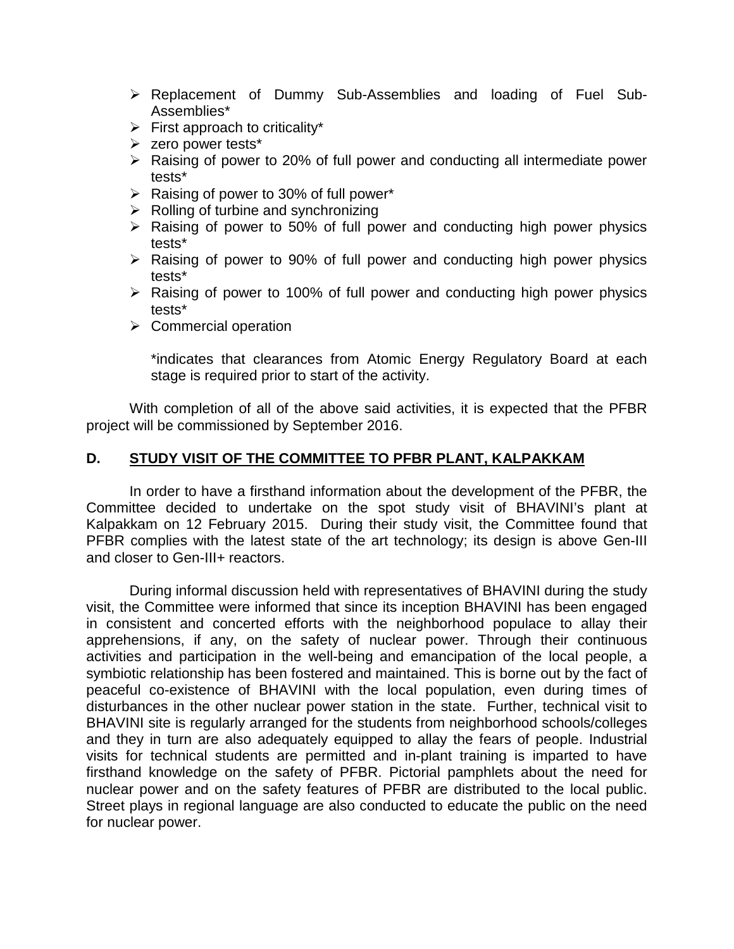- Replacement of Dummy Sub-Assemblies and loading of Fuel Sub-Assemblies\*
- $\triangleright$  First approach to criticality\*
- > zero power tests\*
- $\triangleright$  Raising of power to 20% of full power and conducting all intermediate power tests\*
- $\triangleright$  Raising of power to 30% of full power\*
- $\triangleright$  Rolling of turbine and synchronizing
- $\triangleright$  Raising of power to 50% of full power and conducting high power physics tests\*
- $\triangleright$  Raising of power to 90% of full power and conducting high power physics tests\*
- $\triangleright$  Raising of power to 100% of full power and conducting high power physics tests\*
- $\triangleright$  Commercial operation

\*indicates that clearances from Atomic Energy Regulatory Board at each stage is required prior to start of the activity.

With completion of all of the above said activities, it is expected that the PFBR project will be commissioned by September 2016.

### **D. STUDY VISIT OF THE COMMITTEE TO PFBR PLANT, KALPAKKAM**

 In order to have a firsthand information about the development of the PFBR, the Committee decided to undertake on the spot study visit of BHAVINI's plant at Kalpakkam on 12 February 2015. During their study visit, the Committee found that PFBR complies with the latest state of the art technology; its design is above Gen-III and closer to Gen-III+ reactors.

 During informal discussion held with representatives of BHAVINI during the study visit, the Committee were informed that since its inception BHAVINI has been engaged in consistent and concerted efforts with the neighborhood populace to allay their apprehensions, if any, on the safety of nuclear power. Through their continuous activities and participation in the well-being and emancipation of the local people, a symbiotic relationship has been fostered and maintained. This is borne out by the fact of peaceful co-existence of BHAVINI with the local population, even during times of disturbances in the other nuclear power station in the state. Further, technical visit to BHAVINI site is regularly arranged for the students from neighborhood schools/colleges and they in turn are also adequately equipped to allay the fears of people. Industrial visits for technical students are permitted and in-plant training is imparted to have firsthand knowledge on the safety of PFBR. Pictorial pamphlets about the need for nuclear power and on the safety features of PFBR are distributed to the local public. Street plays in regional language are also conducted to educate the public on the need for nuclear power.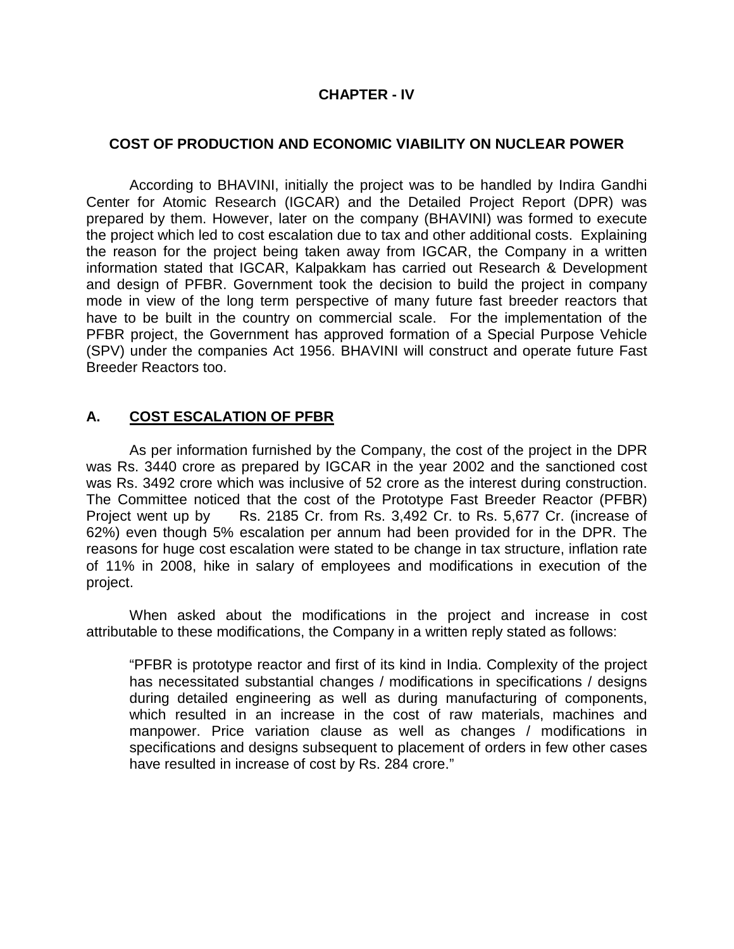# **CHAPTER - IV**

### **COST OF PRODUCTION AND ECONOMIC VIABILITY ON NUCLEAR POWER**

 According to BHAVINI, initially the project was to be handled by Indira Gandhi Center for Atomic Research (IGCAR) and the Detailed Project Report (DPR) was prepared by them. However, later on the company (BHAVINI) was formed to execute the project which led to cost escalation due to tax and other additional costs. Explaining the reason for the project being taken away from IGCAR, the Company in a written information stated that IGCAR, Kalpakkam has carried out Research & Development and design of PFBR. Government took the decision to build the project in company mode in view of the long term perspective of many future fast breeder reactors that have to be built in the country on commercial scale. For the implementation of the PFBR project, the Government has approved formation of a Special Purpose Vehicle (SPV) under the companies Act 1956. BHAVINI will construct and operate future Fast Breeder Reactors too.

### **A. COST ESCALATION OF PFBR**

 As per information furnished by the Company, the cost of the project in the DPR was Rs. 3440 crore as prepared by IGCAR in the year 2002 and the sanctioned cost was Rs. 3492 crore which was inclusive of 52 crore as the interest during construction. The Committee noticed that the cost of the Prototype Fast Breeder Reactor (PFBR) Project went up by Rs. 2185 Cr. from Rs. 3,492 Cr. to Rs. 5,677 Cr. (increase of 62%) even though 5% escalation per annum had been provided for in the DPR. The reasons for huge cost escalation were stated to be change in tax structure, inflation rate of 11% in 2008, hike in salary of employees and modifications in execution of the project.

When asked about the modifications in the project and increase in cost attributable to these modifications, the Company in a written reply stated as follows:

"PFBR is prototype reactor and first of its kind in India. Complexity of the project has necessitated substantial changes / modifications in specifications / designs during detailed engineering as well as during manufacturing of components, which resulted in an increase in the cost of raw materials, machines and manpower. Price variation clause as well as changes / modifications in specifications and designs subsequent to placement of orders in few other cases have resulted in increase of cost by Rs. 284 crore."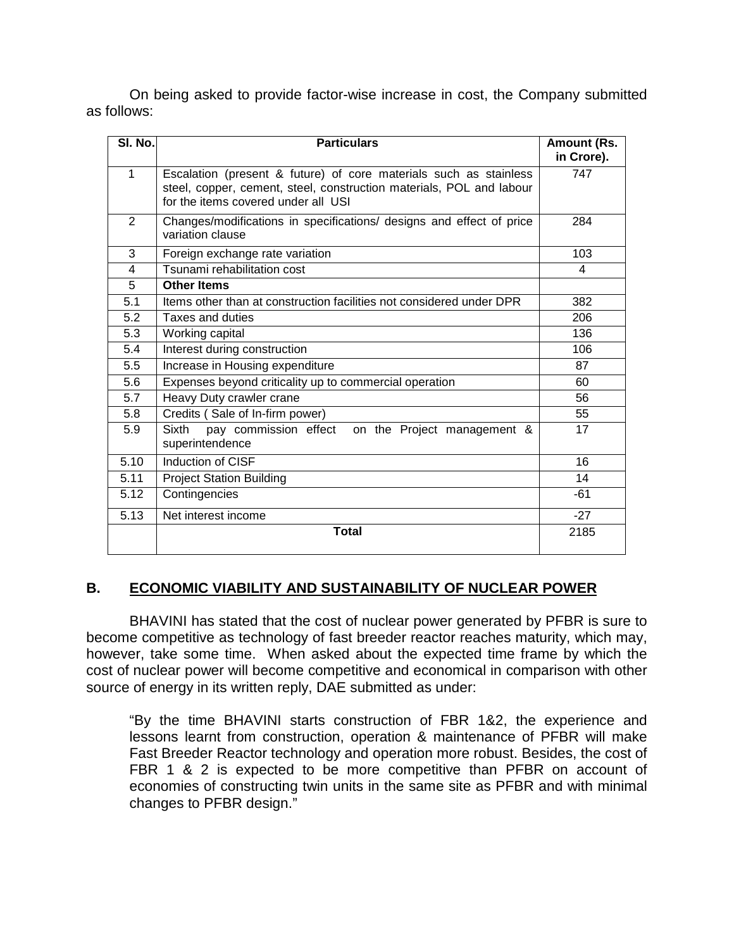On being asked to provide factor-wise increase in cost, the Company submitted as follows:

| SI. No.        | <b>Particulars</b>                                                                                                                                                               | Amount (Rs.<br>in Crore). |
|----------------|----------------------------------------------------------------------------------------------------------------------------------------------------------------------------------|---------------------------|
| 1              | Escalation (present & future) of core materials such as stainless<br>steel, copper, cement, steel, construction materials, POL and labour<br>for the items covered under all USI | 747                       |
| $\overline{2}$ | Changes/modifications in specifications/ designs and effect of price<br>variation clause                                                                                         | 284                       |
| 3              | Foreign exchange rate variation                                                                                                                                                  | 103                       |
| 4              | Tsunami rehabilitation cost                                                                                                                                                      | 4                         |
| $\overline{5}$ | <b>Other Items</b>                                                                                                                                                               |                           |
| 5.1            | Items other than at construction facilities not considered under DPR                                                                                                             | 382                       |
| 5.2            | Taxes and duties                                                                                                                                                                 | 206                       |
| 5.3            | Working capital                                                                                                                                                                  | 136                       |
| 5.4            | Interest during construction                                                                                                                                                     | 106                       |
| 5.5            | Increase in Housing expenditure                                                                                                                                                  | 87                        |
| 5.6            | Expenses beyond criticality up to commercial operation                                                                                                                           | 60                        |
| 5.7            | Heavy Duty crawler crane                                                                                                                                                         | 56                        |
| 5.8            | Credits (Sale of In-firm power)                                                                                                                                                  | 55                        |
| 5.9            | pay commission effect<br><b>Sixth</b><br>on the Project management &<br>superintendence                                                                                          | 17                        |
| 5.10           | Induction of CISF                                                                                                                                                                | 16                        |
| 5.11           | <b>Project Station Building</b>                                                                                                                                                  | 14                        |
| 5.12           | Contingencies                                                                                                                                                                    | -61                       |
| 5.13           | Net interest income                                                                                                                                                              | $-27$                     |
|                | <b>Total</b>                                                                                                                                                                     | 2185                      |

# **B. ECONOMIC VIABILITY AND SUSTAINABILITY OF NUCLEAR POWER**

BHAVINI has stated that the cost of nuclear power generated by PFBR is sure to become competitive as technology of fast breeder reactor reaches maturity, which may, however, take some time. When asked about the expected time frame by which the cost of nuclear power will become competitive and economical in comparison with other source of energy in its written reply, DAE submitted as under:

"By the time BHAVINI starts construction of FBR 1&2, the experience and lessons learnt from construction, operation & maintenance of PFBR will make Fast Breeder Reactor technology and operation more robust. Besides, the cost of FBR 1 & 2 is expected to be more competitive than PFBR on account of economies of constructing twin units in the same site as PFBR and with minimal changes to PFBR design."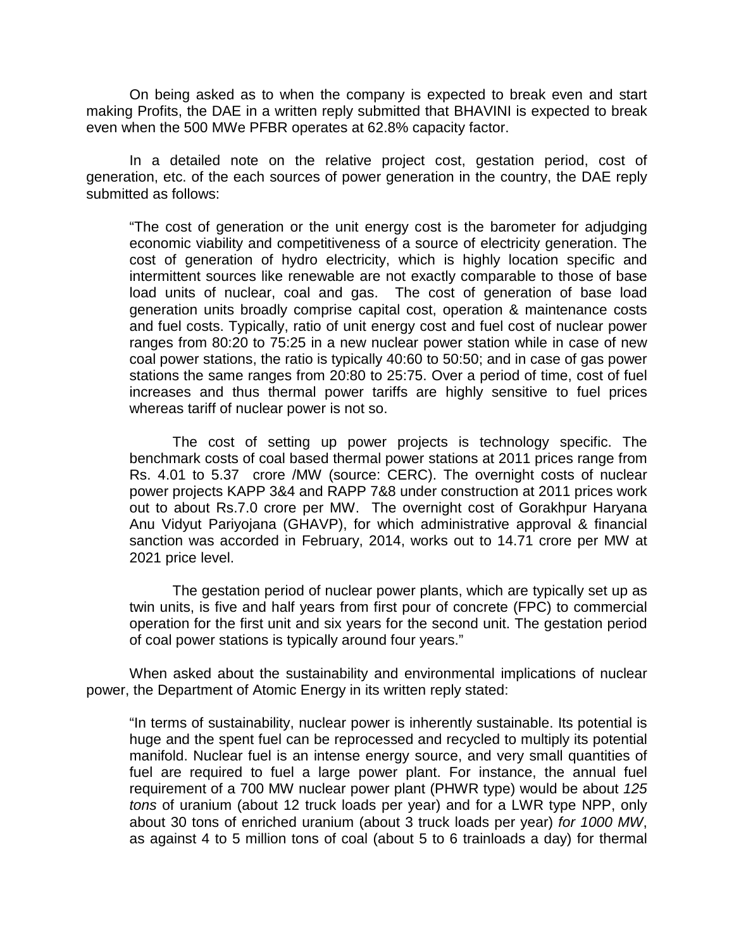On being asked as to when the company is expected to break even and start making Profits, the DAE in a written reply submitted that BHAVINI is expected to break even when the 500 MWe PFBR operates at 62.8% capacity factor.

 In a detailed note on the relative project cost, gestation period, cost of generation, etc. of the each sources of power generation in the country, the DAE reply submitted as follows:

"The cost of generation or the unit energy cost is the barometer for adjudging economic viability and competitiveness of a source of electricity generation. The cost of generation of hydro electricity, which is highly location specific and intermittent sources like renewable are not exactly comparable to those of base load units of nuclear, coal and gas. The cost of generation of base load generation units broadly comprise capital cost, operation & maintenance costs and fuel costs. Typically, ratio of unit energy cost and fuel cost of nuclear power ranges from 80:20 to 75:25 in a new nuclear power station while in case of new coal power stations, the ratio is typically 40:60 to 50:50; and in case of gas power stations the same ranges from 20:80 to 25:75. Over a period of time, cost of fuel increases and thus thermal power tariffs are highly sensitive to fuel prices whereas tariff of nuclear power is not so.

The cost of setting up power projects is technology specific. The benchmark costs of coal based thermal power stations at 2011 prices range from Rs. 4.01 to 5.37 crore /MW (source: CERC). The overnight costs of nuclear power projects KAPP 3&4 and RAPP 7&8 under construction at 2011 prices work out to about Rs.7.0 crore per MW. The overnight cost of Gorakhpur Haryana Anu Vidyut Pariyojana (GHAVP), for which administrative approval & financial sanction was accorded in February, 2014, works out to 14.71 crore per MW at 2021 price level.

The gestation period of nuclear power plants, which are typically set up as twin units, is five and half years from first pour of concrete (FPC) to commercial operation for the first unit and six years for the second unit. The gestation period of coal power stations is typically around four years."

When asked about the sustainability and environmental implications of nuclear power, the Department of Atomic Energy in its written reply stated:

"In terms of sustainability, nuclear power is inherently sustainable. Its potential is huge and the spent fuel can be reprocessed and recycled to multiply its potential manifold. Nuclear fuel is an intense energy source, and very small quantities of fuel are required to fuel a large power plant. For instance, the annual fuel requirement of a 700 MW nuclear power plant (PHWR type) would be about 125 tons of uranium (about 12 truck loads per year) and for a LWR type NPP, only about 30 tons of enriched uranium (about 3 truck loads per year) for 1000 MW, as against 4 to 5 million tons of coal (about 5 to 6 trainloads a day) for thermal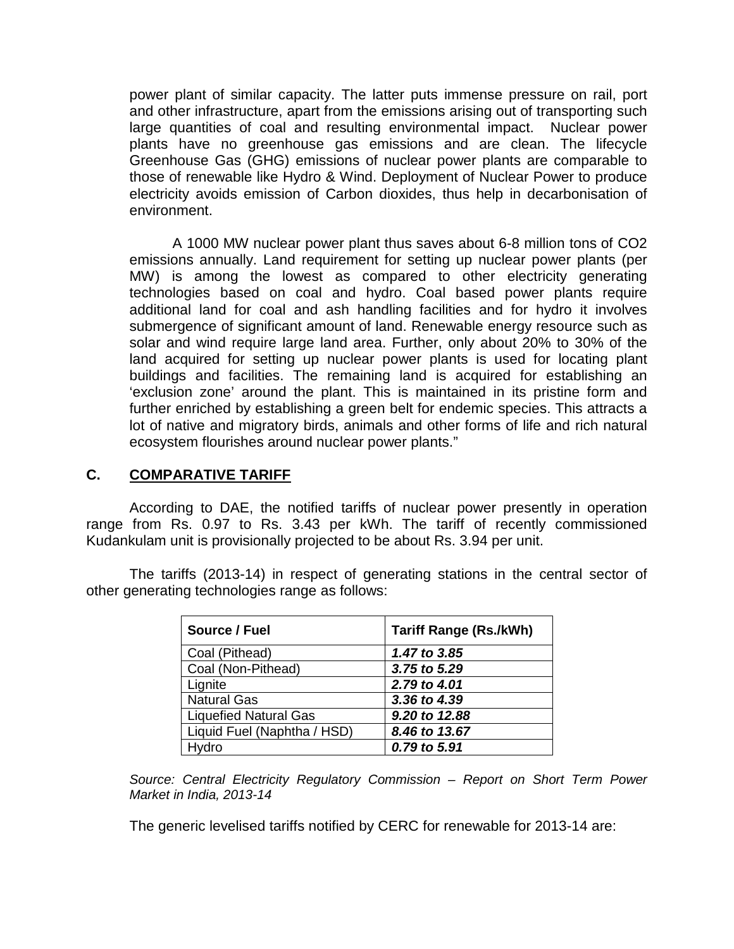power plant of similar capacity. The latter puts immense pressure on rail, port and other infrastructure, apart from the emissions arising out of transporting such large quantities of coal and resulting environmental impact. Nuclear power plants have no greenhouse gas emissions and are clean. The lifecycle Greenhouse Gas (GHG) emissions of nuclear power plants are comparable to those of renewable like Hydro & Wind. Deployment of Nuclear Power to produce electricity avoids emission of Carbon dioxides, thus help in decarbonisation of environment.

A 1000 MW nuclear power plant thus saves about 6-8 million tons of CO2 emissions annually. Land requirement for setting up nuclear power plants (per MW) is among the lowest as compared to other electricity generating technologies based on coal and hydro. Coal based power plants require additional land for coal and ash handling facilities and for hydro it involves submergence of significant amount of land. Renewable energy resource such as solar and wind require large land area. Further, only about 20% to 30% of the land acquired for setting up nuclear power plants is used for locating plant buildings and facilities. The remaining land is acquired for establishing an 'exclusion zone' around the plant. This is maintained in its pristine form and further enriched by establishing a green belt for endemic species. This attracts a lot of native and migratory birds, animals and other forms of life and rich natural ecosystem flourishes around nuclear power plants."

## **C. COMPARATIVE TARIFF**

 According to DAE, the notified tariffs of nuclear power presently in operation range from Rs. 0.97 to Rs. 3.43 per kWh. The tariff of recently commissioned Kudankulam unit is provisionally projected to be about Rs. 3.94 per unit.

The tariffs (2013-14) in respect of generating stations in the central sector of other generating technologies range as follows:

| Source / Fuel                | <b>Tariff Range (Rs./kWh)</b> |
|------------------------------|-------------------------------|
| Coal (Pithead)               | 1.47 to 3.85                  |
| Coal (Non-Pithead)           | 3.75 to 5.29                  |
| Lignite                      | 2.79 to 4.01                  |
| <b>Natural Gas</b>           | 3.36 to 4.39                  |
| <b>Liquefied Natural Gas</b> | 9.20 to 12.88                 |
| Liquid Fuel (Naphtha / HSD)  | 8.46 to 13.67                 |
| Hydro                        | 0.79 to 5.91                  |

Source: Central Electricity Regulatory Commission – Report on Short Term Power Market in India, 2013-14

The generic levelised tariffs notified by CERC for renewable for 2013-14 are: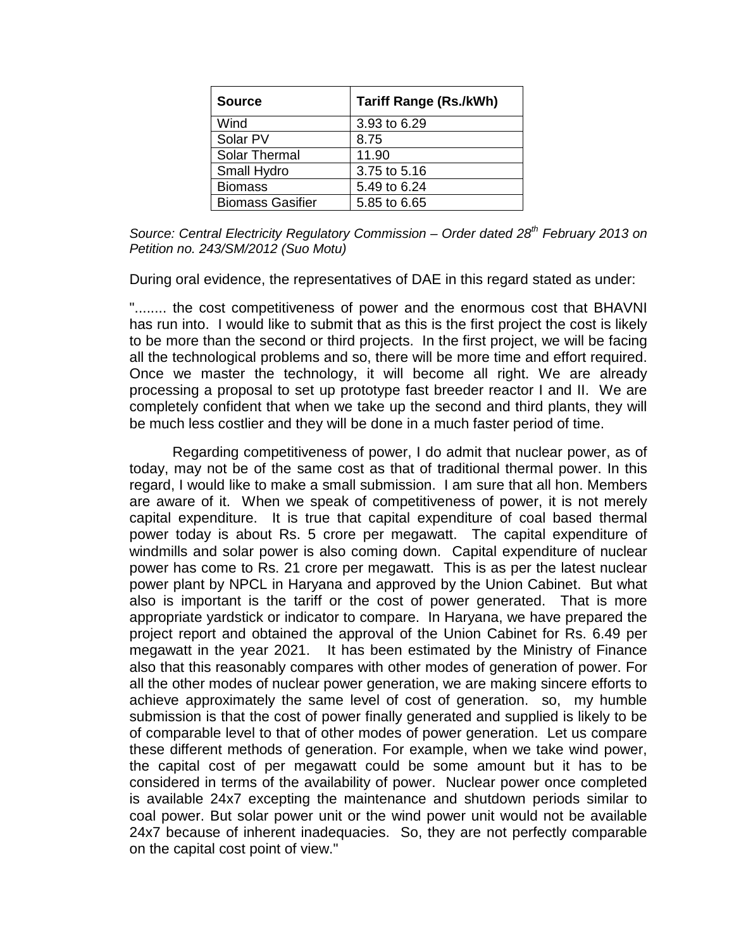| <b>Source</b>           | <b>Tariff Range (Rs./kWh)</b> |  |  |
|-------------------------|-------------------------------|--|--|
| Wind                    | 3.93 to 6.29                  |  |  |
| Solar PV                | 8.75                          |  |  |
| Solar Thermal           | 11.90                         |  |  |
| Small Hydro             | 3.75 to 5.16                  |  |  |
| <b>Biomass</b>          | 5.49 to 6.24                  |  |  |
| <b>Biomass Gasifier</b> | 5.85 to 6.65                  |  |  |

Source: Central Electricity Regulatory Commission – Order dated  $28<sup>th</sup>$  February 2013 on Petition no. 243/SM/2012 (Suo Motu)

During oral evidence, the representatives of DAE in this regard stated as under:

"........ the cost competitiveness of power and the enormous cost that BHAVNI has run into. I would like to submit that as this is the first project the cost is likely to be more than the second or third projects. In the first project, we will be facing all the technological problems and so, there will be more time and effort required. Once we master the technology, it will become all right. We are already processing a proposal to set up prototype fast breeder reactor I and II. We are completely confident that when we take up the second and third plants, they will be much less costlier and they will be done in a much faster period of time.

 Regarding competitiveness of power, I do admit that nuclear power, as of today, may not be of the same cost as that of traditional thermal power. In this regard, I would like to make a small submission. I am sure that all hon. Members are aware of it. When we speak of competitiveness of power, it is not merely capital expenditure. It is true that capital expenditure of coal based thermal power today is about Rs. 5 crore per megawatt. The capital expenditure of windmills and solar power is also coming down. Capital expenditure of nuclear power has come to Rs. 21 crore per megawatt. This is as per the latest nuclear power plant by NPCL in Haryana and approved by the Union Cabinet. But what also is important is the tariff or the cost of power generated. That is more appropriate yardstick or indicator to compare. In Haryana, we have prepared the project report and obtained the approval of the Union Cabinet for Rs. 6.49 per megawatt in the year 2021. It has been estimated by the Ministry of Finance also that this reasonably compares with other modes of generation of power. For all the other modes of nuclear power generation, we are making sincere efforts to achieve approximately the same level of cost of generation. so, my humble submission is that the cost of power finally generated and supplied is likely to be of comparable level to that of other modes of power generation. Let us compare these different methods of generation. For example, when we take wind power, the capital cost of per megawatt could be some amount but it has to be considered in terms of the availability of power. Nuclear power once completed is available 24x7 excepting the maintenance and shutdown periods similar to coal power. But solar power unit or the wind power unit would not be available 24x7 because of inherent inadequacies. So, they are not perfectly comparable on the capital cost point of view."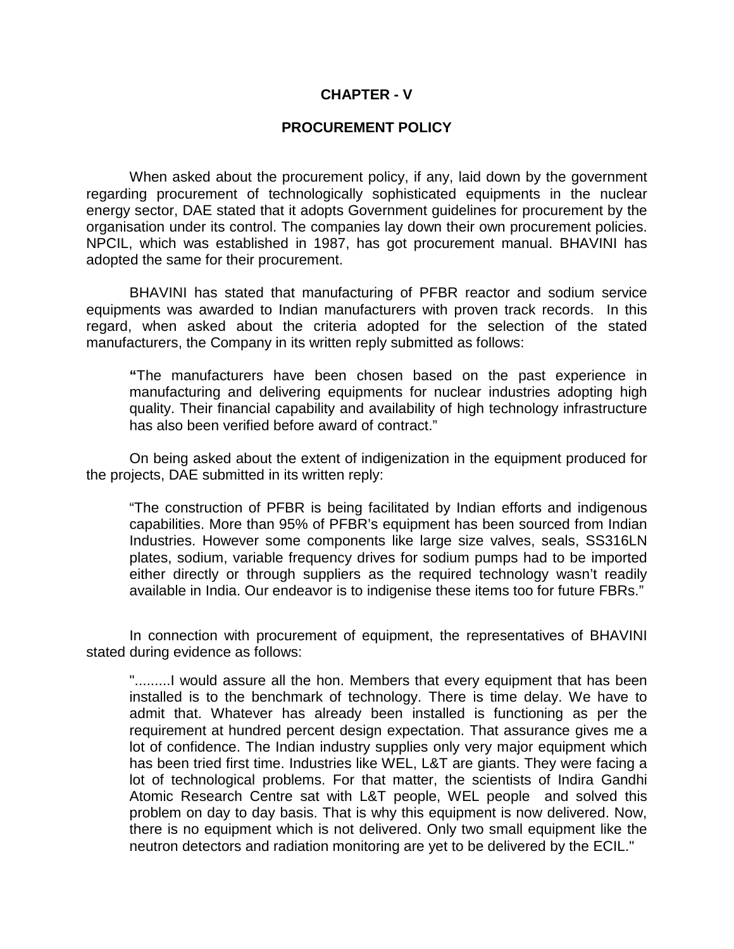#### **CHAPTER - V**

#### **PROCUREMENT POLICY**

When asked about the procurement policy, if any, laid down by the government regarding procurement of technologically sophisticated equipments in the nuclear energy sector, DAE stated that it adopts Government guidelines for procurement by the organisation under its control. The companies lay down their own procurement policies. NPCIL, which was established in 1987, has got procurement manual. BHAVINI has adopted the same for their procurement.

BHAVINI has stated that manufacturing of PFBR reactor and sodium service equipments was awarded to Indian manufacturers with proven track records. In this regard, when asked about the criteria adopted for the selection of the stated manufacturers, the Company in its written reply submitted as follows:

 **"**The manufacturers have been chosen based on the past experience in manufacturing and delivering equipments for nuclear industries adopting high quality. Their financial capability and availability of high technology infrastructure has also been verified before award of contract."

On being asked about the extent of indigenization in the equipment produced for the projects, DAE submitted in its written reply:

"The construction of PFBR is being facilitated by Indian efforts and indigenous capabilities. More than 95% of PFBR's equipment has been sourced from Indian Industries. However some components like large size valves, seals, SS316LN plates, sodium, variable frequency drives for sodium pumps had to be imported either directly or through suppliers as the required technology wasn't readily available in India. Our endeavor is to indigenise these items too for future FBRs."

In connection with procurement of equipment, the representatives of BHAVINI stated during evidence as follows:

".........I would assure all the hon. Members that every equipment that has been installed is to the benchmark of technology. There is time delay. We have to admit that. Whatever has already been installed is functioning as per the requirement at hundred percent design expectation. That assurance gives me a lot of confidence. The Indian industry supplies only very major equipment which has been tried first time. Industries like WEL, L&T are giants. They were facing a lot of technological problems. For that matter, the scientists of Indira Gandhi Atomic Research Centre sat with L&T people, WEL people and solved this problem on day to day basis. That is why this equipment is now delivered. Now, there is no equipment which is not delivered. Only two small equipment like the neutron detectors and radiation monitoring are yet to be delivered by the ECIL."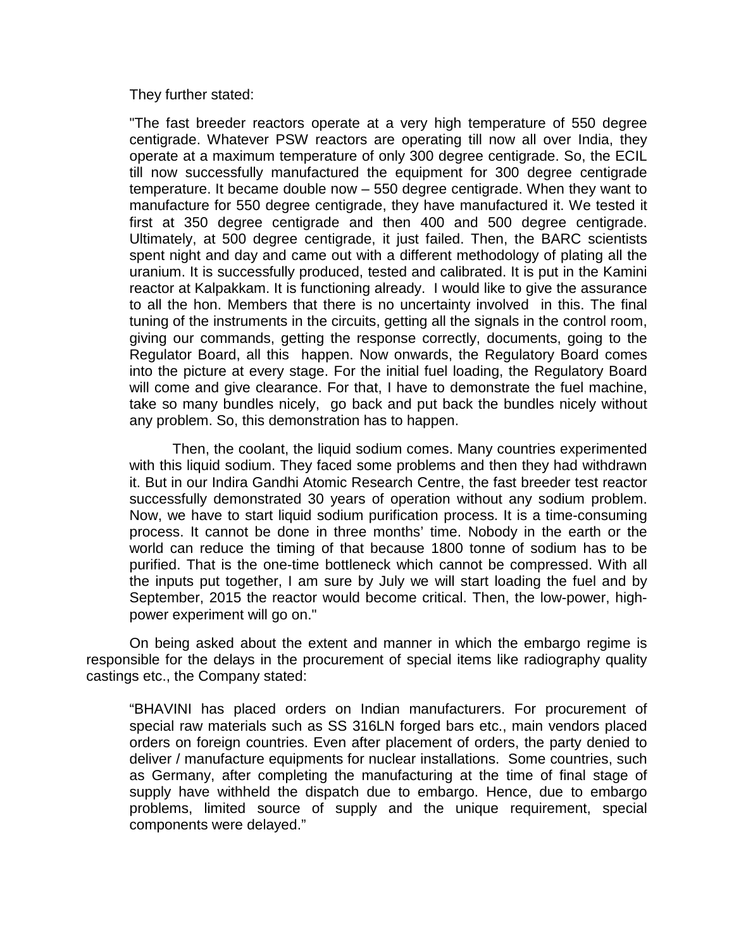They further stated:

"The fast breeder reactors operate at a very high temperature of 550 degree centigrade. Whatever PSW reactors are operating till now all over India, they operate at a maximum temperature of only 300 degree centigrade. So, the ECIL till now successfully manufactured the equipment for 300 degree centigrade temperature. It became double now – 550 degree centigrade. When they want to manufacture for 550 degree centigrade, they have manufactured it. We tested it first at 350 degree centigrade and then 400 and 500 degree centigrade. Ultimately, at 500 degree centigrade, it just failed. Then, the BARC scientists spent night and day and came out with a different methodology of plating all the uranium. It is successfully produced, tested and calibrated. It is put in the Kamini reactor at Kalpakkam. It is functioning already. I would like to give the assurance to all the hon. Members that there is no uncertainty involved in this. The final tuning of the instruments in the circuits, getting all the signals in the control room, giving our commands, getting the response correctly, documents, going to the Regulator Board, all this happen. Now onwards, the Regulatory Board comes into the picture at every stage. For the initial fuel loading, the Regulatory Board will come and give clearance. For that, I have to demonstrate the fuel machine, take so many bundles nicely, go back and put back the bundles nicely without any problem. So, this demonstration has to happen.

 Then, the coolant, the liquid sodium comes. Many countries experimented with this liquid sodium. They faced some problems and then they had withdrawn it. But in our Indira Gandhi Atomic Research Centre, the fast breeder test reactor successfully demonstrated 30 years of operation without any sodium problem. Now, we have to start liquid sodium purification process. It is a time-consuming process. It cannot be done in three months' time. Nobody in the earth or the world can reduce the timing of that because 1800 tonne of sodium has to be purified. That is the one-time bottleneck which cannot be compressed. With all the inputs put together, I am sure by July we will start loading the fuel and by September, 2015 the reactor would become critical. Then, the low-power, highpower experiment will go on."

On being asked about the extent and manner in which the embargo regime is responsible for the delays in the procurement of special items like radiography quality castings etc., the Company stated:

"BHAVINI has placed orders on Indian manufacturers. For procurement of special raw materials such as SS 316LN forged bars etc., main vendors placed orders on foreign countries. Even after placement of orders, the party denied to deliver / manufacture equipments for nuclear installations. Some countries, such as Germany, after completing the manufacturing at the time of final stage of supply have withheld the dispatch due to embargo. Hence, due to embargo problems, limited source of supply and the unique requirement, special components were delayed."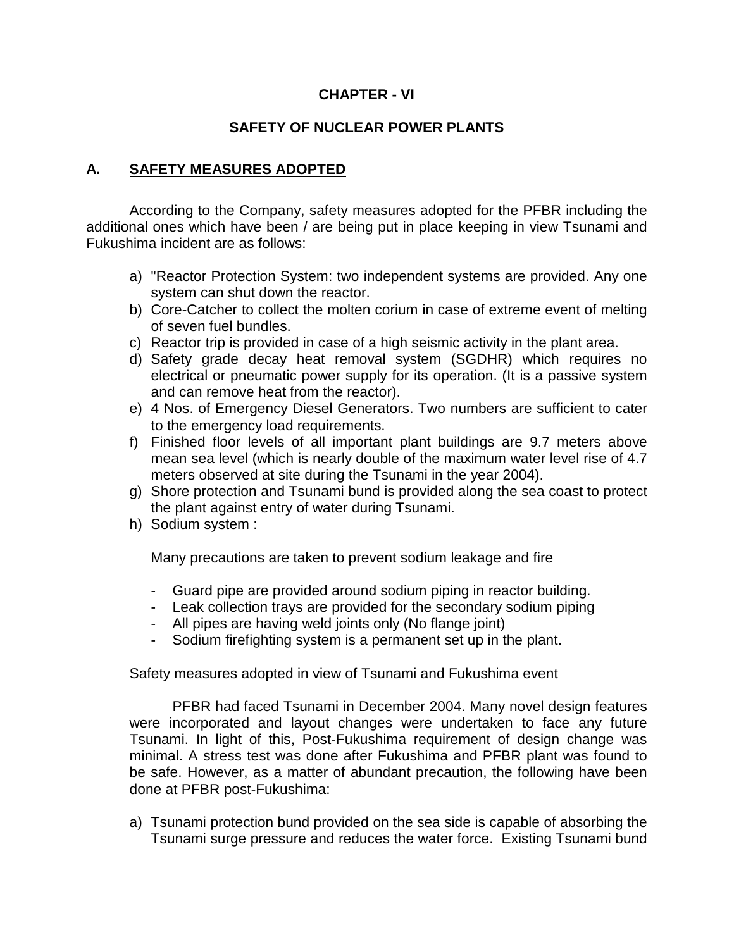# **CHAPTER - VI**

# **SAFETY OF NUCLEAR POWER PLANTS**

## **A. SAFETY MEASURES ADOPTED**

 According to the Company, safety measures adopted for the PFBR including the additional ones which have been / are being put in place keeping in view Tsunami and Fukushima incident are as follows:

- a) "Reactor Protection System: two independent systems are provided. Any one system can shut down the reactor.
- b) Core-Catcher to collect the molten corium in case of extreme event of melting of seven fuel bundles.
- c) Reactor trip is provided in case of a high seismic activity in the plant area.
- d) Safety grade decay heat removal system (SGDHR) which requires no electrical or pneumatic power supply for its operation. (It is a passive system and can remove heat from the reactor).
- e) 4 Nos. of Emergency Diesel Generators. Two numbers are sufficient to cater to the emergency load requirements.
- f) Finished floor levels of all important plant buildings are 9.7 meters above mean sea level (which is nearly double of the maximum water level rise of 4.7 meters observed at site during the Tsunami in the year 2004).
- g) Shore protection and Tsunami bund is provided along the sea coast to protect the plant against entry of water during Tsunami.
- h) Sodium system :

Many precautions are taken to prevent sodium leakage and fire

- Guard pipe are provided around sodium piping in reactor building.
- Leak collection trays are provided for the secondary sodium piping
- All pipes are having weld joints only (No flange joint)
- Sodium firefighting system is a permanent set up in the plant.

Safety measures adopted in view of Tsunami and Fukushima event

PFBR had faced Tsunami in December 2004. Many novel design features were incorporated and layout changes were undertaken to face any future Tsunami. In light of this, Post-Fukushima requirement of design change was minimal. A stress test was done after Fukushima and PFBR plant was found to be safe. However, as a matter of abundant precaution, the following have been done at PFBR post-Fukushima:

a) Tsunami protection bund provided on the sea side is capable of absorbing the Tsunami surge pressure and reduces the water force. Existing Tsunami bund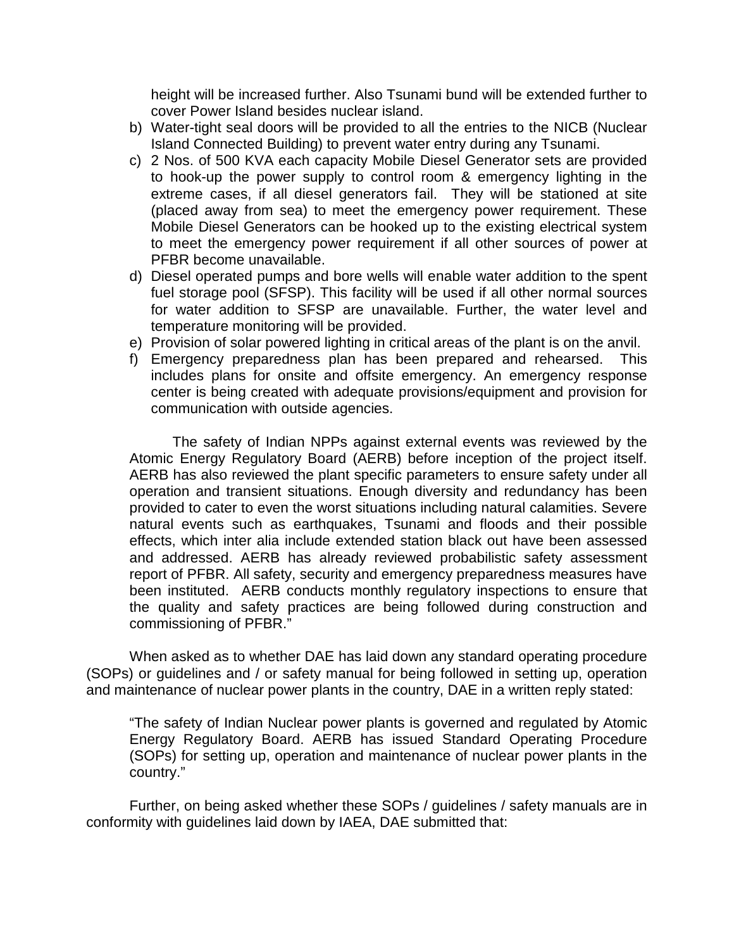height will be increased further. Also Tsunami bund will be extended further to cover Power Island besides nuclear island.

- b) Water-tight seal doors will be provided to all the entries to the NICB (Nuclear Island Connected Building) to prevent water entry during any Tsunami.
- c) 2 Nos. of 500 KVA each capacity Mobile Diesel Generator sets are provided to hook-up the power supply to control room & emergency lighting in the extreme cases, if all diesel generators fail. They will be stationed at site (placed away from sea) to meet the emergency power requirement. These Mobile Diesel Generators can be hooked up to the existing electrical system to meet the emergency power requirement if all other sources of power at PFBR become unavailable.
- d) Diesel operated pumps and bore wells will enable water addition to the spent fuel storage pool (SFSP). This facility will be used if all other normal sources for water addition to SFSP are unavailable. Further, the water level and temperature monitoring will be provided.
- e) Provision of solar powered lighting in critical areas of the plant is on the anvil.
- f) Emergency preparedness plan has been prepared and rehearsed. This includes plans for onsite and offsite emergency. An emergency response center is being created with adequate provisions/equipment and provision for communication with outside agencies.

The safety of Indian NPPs against external events was reviewed by the Atomic Energy Regulatory Board (AERB) before inception of the project itself. AERB has also reviewed the plant specific parameters to ensure safety under all operation and transient situations. Enough diversity and redundancy has been provided to cater to even the worst situations including natural calamities. Severe natural events such as earthquakes, Tsunami and floods and their possible effects, which inter alia include extended station black out have been assessed and addressed. AERB has already reviewed probabilistic safety assessment report of PFBR. All safety, security and emergency preparedness measures have been instituted. AERB conducts monthly regulatory inspections to ensure that the quality and safety practices are being followed during construction and commissioning of PFBR."

When asked as to whether DAE has laid down any standard operating procedure (SOPs) or guidelines and / or safety manual for being followed in setting up, operation and maintenance of nuclear power plants in the country, DAE in a written reply stated:

"The safety of Indian Nuclear power plants is governed and regulated by Atomic Energy Regulatory Board. AERB has issued Standard Operating Procedure (SOPs) for setting up, operation and maintenance of nuclear power plants in the country."

Further, on being asked whether these SOPs / guidelines / safety manuals are in conformity with guidelines laid down by IAEA, DAE submitted that: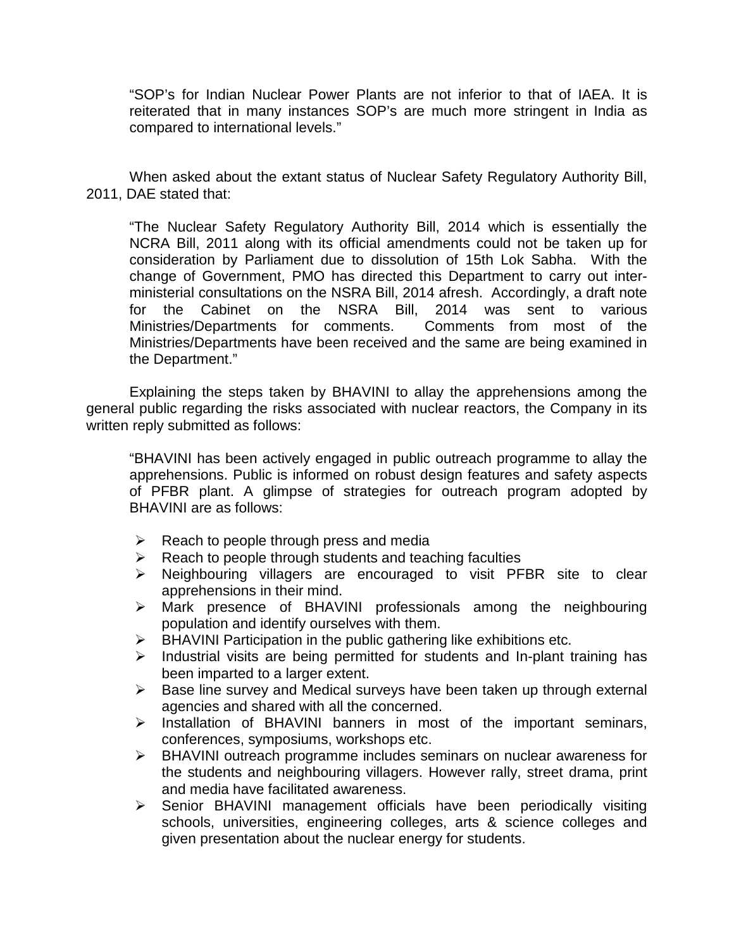"SOP's for Indian Nuclear Power Plants are not inferior to that of IAEA. It is reiterated that in many instances SOP's are much more stringent in India as compared to international levels."

When asked about the extant status of Nuclear Safety Regulatory Authority Bill, 2011, DAE stated that:

"The Nuclear Safety Regulatory Authority Bill, 2014 which is essentially the NCRA Bill, 2011 along with its official amendments could not be taken up for consideration by Parliament due to dissolution of 15th Lok Sabha. With the change of Government, PMO has directed this Department to carry out interministerial consultations on the NSRA Bill, 2014 afresh. Accordingly, a draft note for the Cabinet on the NSRA Bill, 2014 was sent to various Ministries/Departments for comments. Comments from most of the Ministries/Departments have been received and the same are being examined in the Department."

Explaining the steps taken by BHAVINI to allay the apprehensions among the general public regarding the risks associated with nuclear reactors, the Company in its written reply submitted as follows:

"BHAVINI has been actively engaged in public outreach programme to allay the apprehensions. Public is informed on robust design features and safety aspects of PFBR plant. A glimpse of strategies for outreach program adopted by BHAVINI are as follows:

- $\triangleright$  Reach to people through press and media
- $\triangleright$  Reach to people through students and teaching faculties
- Neighbouring villagers are encouraged to visit PFBR site to clear apprehensions in their mind.
- $\triangleright$  Mark presence of BHAVINI professionals among the neighbouring population and identify ourselves with them.
- $\triangleright$  BHAVINI Participation in the public gathering like exhibitions etc.
- $\triangleright$  Industrial visits are being permitted for students and In-plant training has been imparted to a larger extent.
- $\triangleright$  Base line survey and Medical surveys have been taken up through external agencies and shared with all the concerned.
- $\triangleright$  Installation of BHAVINI banners in most of the important seminars, conferences, symposiums, workshops etc.
- BHAVINI outreach programme includes seminars on nuclear awareness for the students and neighbouring villagers. However rally, street drama, print and media have facilitated awareness.
- $\triangleright$  Senior BHAVINI management officials have been periodically visiting schools, universities, engineering colleges, arts & science colleges and given presentation about the nuclear energy for students.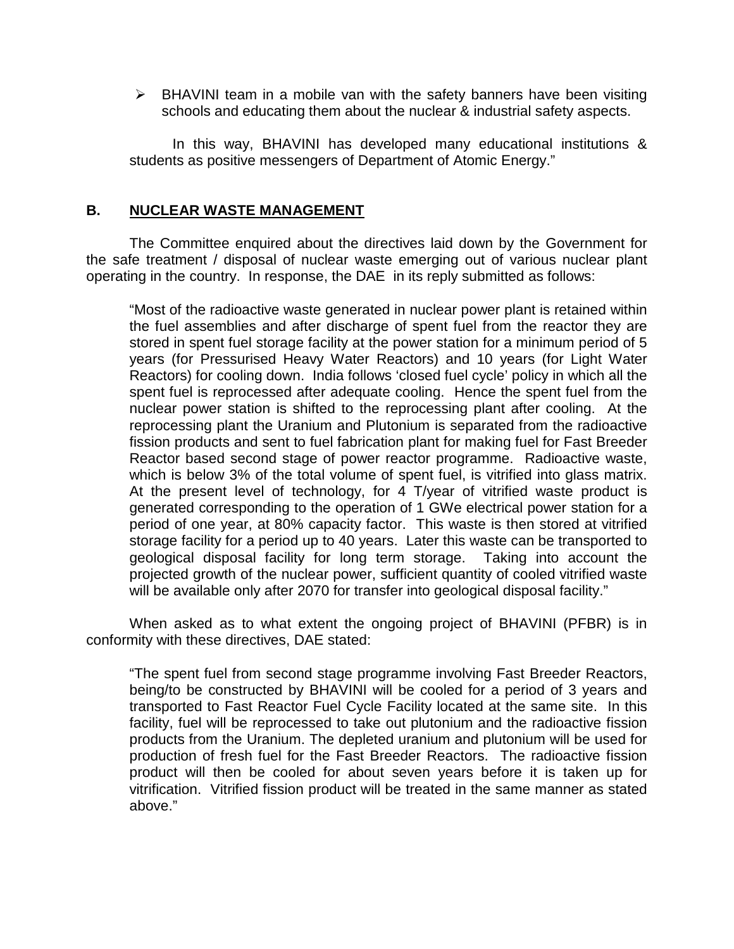$\triangleright$  BHAVINI team in a mobile van with the safety banners have been visiting schools and educating them about the nuclear & industrial safety aspects.

In this way, BHAVINI has developed many educational institutions & students as positive messengers of Department of Atomic Energy."

### **B. NUCLEAR WASTE MANAGEMENT**

The Committee enquired about the directives laid down by the Government for the safe treatment / disposal of nuclear waste emerging out of various nuclear plant operating in the country. In response, the DAE in its reply submitted as follows:

"Most of the radioactive waste generated in nuclear power plant is retained within the fuel assemblies and after discharge of spent fuel from the reactor they are stored in spent fuel storage facility at the power station for a minimum period of 5 years (for Pressurised Heavy Water Reactors) and 10 years (for Light Water Reactors) for cooling down. India follows 'closed fuel cycle' policy in which all the spent fuel is reprocessed after adequate cooling. Hence the spent fuel from the nuclear power station is shifted to the reprocessing plant after cooling. At the reprocessing plant the Uranium and Plutonium is separated from the radioactive fission products and sent to fuel fabrication plant for making fuel for Fast Breeder Reactor based second stage of power reactor programme. Radioactive waste, which is below 3% of the total volume of spent fuel, is vitrified into glass matrix. At the present level of technology, for 4 T/year of vitrified waste product is generated corresponding to the operation of 1 GWe electrical power station for a period of one year, at 80% capacity factor. This waste is then stored at vitrified storage facility for a period up to 40 years. Later this waste can be transported to geological disposal facility for long term storage. Taking into account the projected growth of the nuclear power, sufficient quantity of cooled vitrified waste will be available only after 2070 for transfer into geological disposal facility."

When asked as to what extent the ongoing project of BHAVINI (PFBR) is in conformity with these directives, DAE stated:

"The spent fuel from second stage programme involving Fast Breeder Reactors, being/to be constructed by BHAVINI will be cooled for a period of 3 years and transported to Fast Reactor Fuel Cycle Facility located at the same site. In this facility, fuel will be reprocessed to take out plutonium and the radioactive fission products from the Uranium. The depleted uranium and plutonium will be used for production of fresh fuel for the Fast Breeder Reactors. The radioactive fission product will then be cooled for about seven years before it is taken up for vitrification. Vitrified fission product will be treated in the same manner as stated above."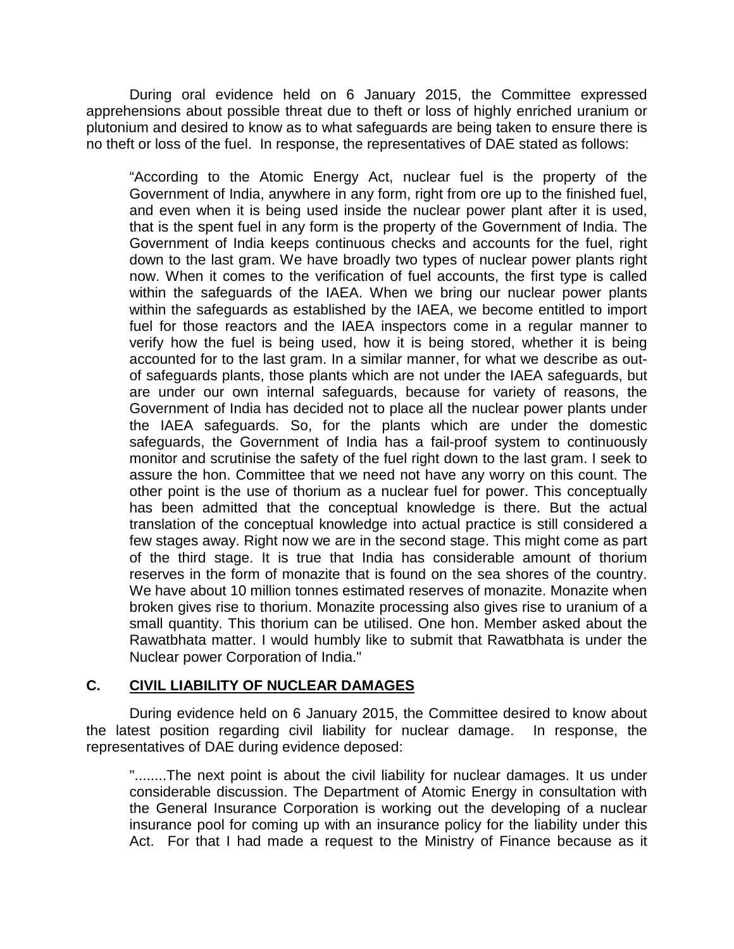During oral evidence held on 6 January 2015, the Committee expressed apprehensions about possible threat due to theft or loss of highly enriched uranium or plutonium and desired to know as to what safeguards are being taken to ensure there is no theft or loss of the fuel. In response, the representatives of DAE stated as follows:

"According to the Atomic Energy Act, nuclear fuel is the property of the Government of India, anywhere in any form, right from ore up to the finished fuel, and even when it is being used inside the nuclear power plant after it is used, that is the spent fuel in any form is the property of the Government of India. The Government of India keeps continuous checks and accounts for the fuel, right down to the last gram. We have broadly two types of nuclear power plants right now. When it comes to the verification of fuel accounts, the first type is called within the safeguards of the IAEA. When we bring our nuclear power plants within the safeguards as established by the IAEA, we become entitled to import fuel for those reactors and the IAEA inspectors come in a regular manner to verify how the fuel is being used, how it is being stored, whether it is being accounted for to the last gram. In a similar manner, for what we describe as outof safeguards plants, those plants which are not under the IAEA safeguards, but are under our own internal safeguards, because for variety of reasons, the Government of India has decided not to place all the nuclear power plants under the IAEA safeguards. So, for the plants which are under the domestic safeguards, the Government of India has a fail-proof system to continuously monitor and scrutinise the safety of the fuel right down to the last gram. I seek to assure the hon. Committee that we need not have any worry on this count. The other point is the use of thorium as a nuclear fuel for power. This conceptually has been admitted that the conceptual knowledge is there. But the actual translation of the conceptual knowledge into actual practice is still considered a few stages away. Right now we are in the second stage. This might come as part of the third stage. It is true that India has considerable amount of thorium reserves in the form of monazite that is found on the sea shores of the country. We have about 10 million tonnes estimated reserves of monazite. Monazite when broken gives rise to thorium. Monazite processing also gives rise to uranium of a small quantity. This thorium can be utilised. One hon. Member asked about the Rawatbhata matter. I would humbly like to submit that Rawatbhata is under the Nuclear power Corporation of India."

## **C. CIVIL LIABILITY OF NUCLEAR DAMAGES**

 During evidence held on 6 January 2015, the Committee desired to know about the latest position regarding civil liability for nuclear damage. In response, the representatives of DAE during evidence deposed:

"........The next point is about the civil liability for nuclear damages. It us under considerable discussion. The Department of Atomic Energy in consultation with the General Insurance Corporation is working out the developing of a nuclear insurance pool for coming up with an insurance policy for the liability under this Act. For that I had made a request to the Ministry of Finance because as it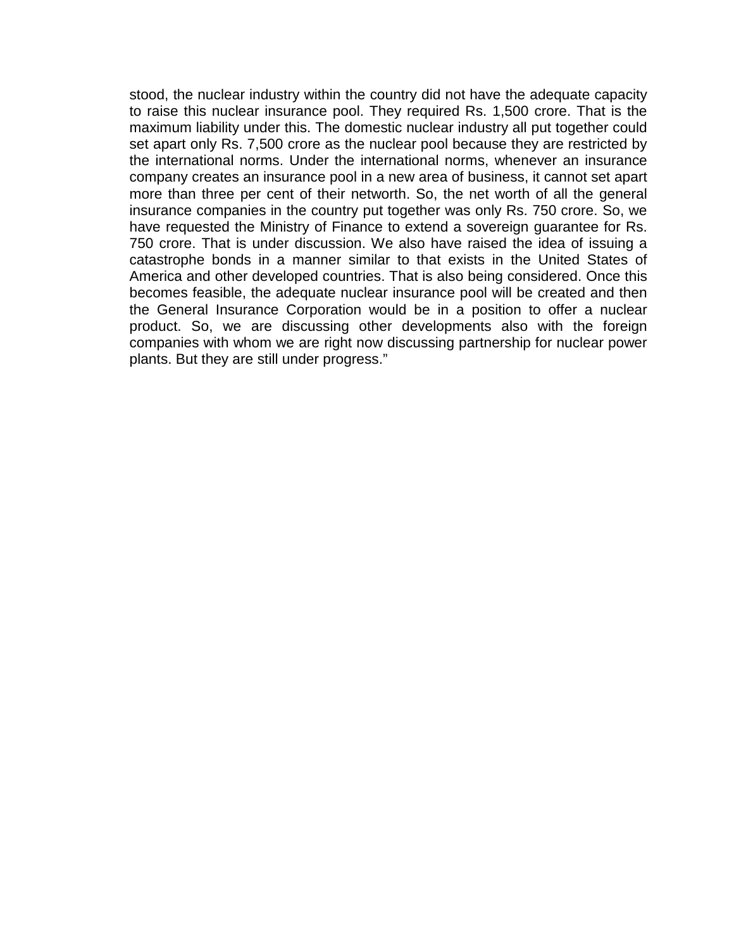stood, the nuclear industry within the country did not have the adequate capacity to raise this nuclear insurance pool. They required Rs. 1,500 crore. That is the maximum liability under this. The domestic nuclear industry all put together could set apart only Rs. 7,500 crore as the nuclear pool because they are restricted by the international norms. Under the international norms, whenever an insurance company creates an insurance pool in a new area of business, it cannot set apart more than three per cent of their networth. So, the net worth of all the general insurance companies in the country put together was only Rs. 750 crore. So, we have requested the Ministry of Finance to extend a sovereign guarantee for Rs. 750 crore. That is under discussion. We also have raised the idea of issuing a catastrophe bonds in a manner similar to that exists in the United States of America and other developed countries. That is also being considered. Once this becomes feasible, the adequate nuclear insurance pool will be created and then the General Insurance Corporation would be in a position to offer a nuclear product. So, we are discussing other developments also with the foreign companies with whom we are right now discussing partnership for nuclear power plants. But they are still under progress."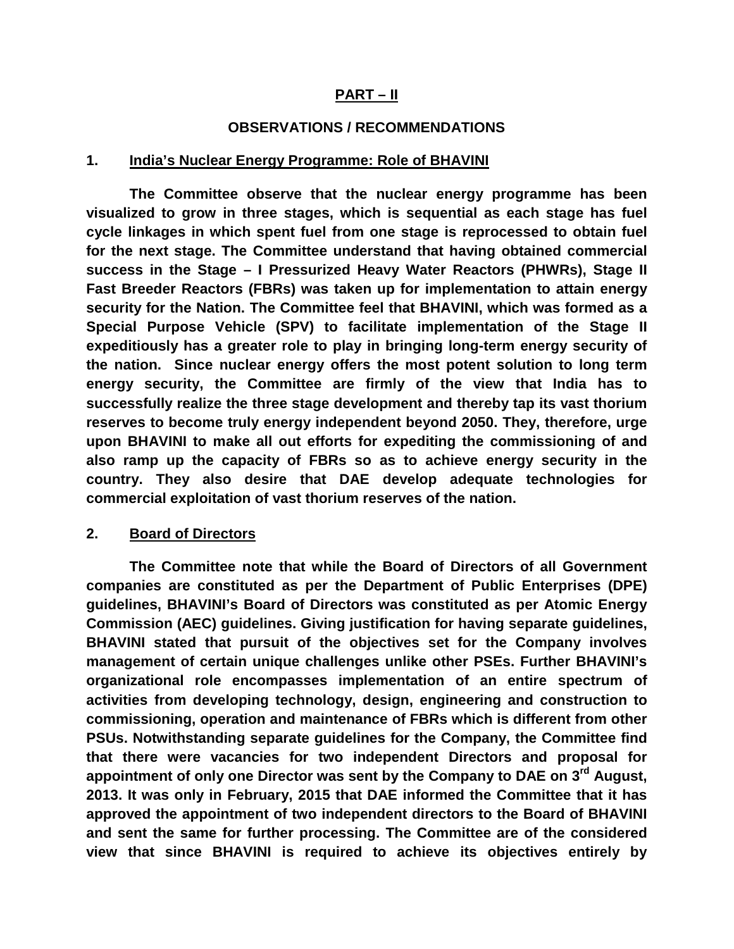## **PART – II**

#### **OBSERVATIONS / RECOMMENDATIONS**

#### **1. India's Nuclear Energy Programme: Role of BHAVINI**

 **The Committee observe that the nuclear energy programme has been visualized to grow in three stages, which is sequential as each stage has fuel cycle linkages in which spent fuel from one stage is reprocessed to obtain fuel for the next stage. The Committee understand that having obtained commercial success in the Stage – I Pressurized Heavy Water Reactors (PHWRs), Stage II Fast Breeder Reactors (FBRs) was taken up for implementation to attain energy security for the Nation. The Committee feel that BHAVINI, which was formed as a Special Purpose Vehicle (SPV) to facilitate implementation of the Stage II expeditiously has a greater role to play in bringing long-term energy security of the nation. Since nuclear energy offers the most potent solution to long term energy security, the Committee are firmly of the view that India has to successfully realize the three stage development and thereby tap its vast thorium reserves to become truly energy independent beyond 2050. They, therefore, urge upon BHAVINI to make all out efforts for expediting the commissioning of and also ramp up the capacity of FBRs so as to achieve energy security in the country. They also desire that DAE develop adequate technologies for commercial exploitation of vast thorium reserves of the nation.** 

#### **2. Board of Directors**

 **The Committee note that while the Board of Directors of all Government companies are constituted as per the Department of Public Enterprises (DPE) guidelines, BHAVINI's Board of Directors was constituted as per Atomic Energy Commission (AEC) guidelines. Giving justification for having separate guidelines, BHAVINI stated that pursuit of the objectives set for the Company involves management of certain unique challenges unlike other PSEs. Further BHAVINI's organizational role encompasses implementation of an entire spectrum of activities from developing technology, design, engineering and construction to commissioning, operation and maintenance of FBRs which is different from other PSUs. Notwithstanding separate guidelines for the Company, the Committee find that there were vacancies for two independent Directors and proposal for appointment of only one Director was sent by the Company to DAE on 3rd August, 2013. It was only in February, 2015 that DAE informed the Committee that it has approved the appointment of two independent directors to the Board of BHAVINI and sent the same for further processing. The Committee are of the considered view that since BHAVINI is required to achieve its objectives entirely by**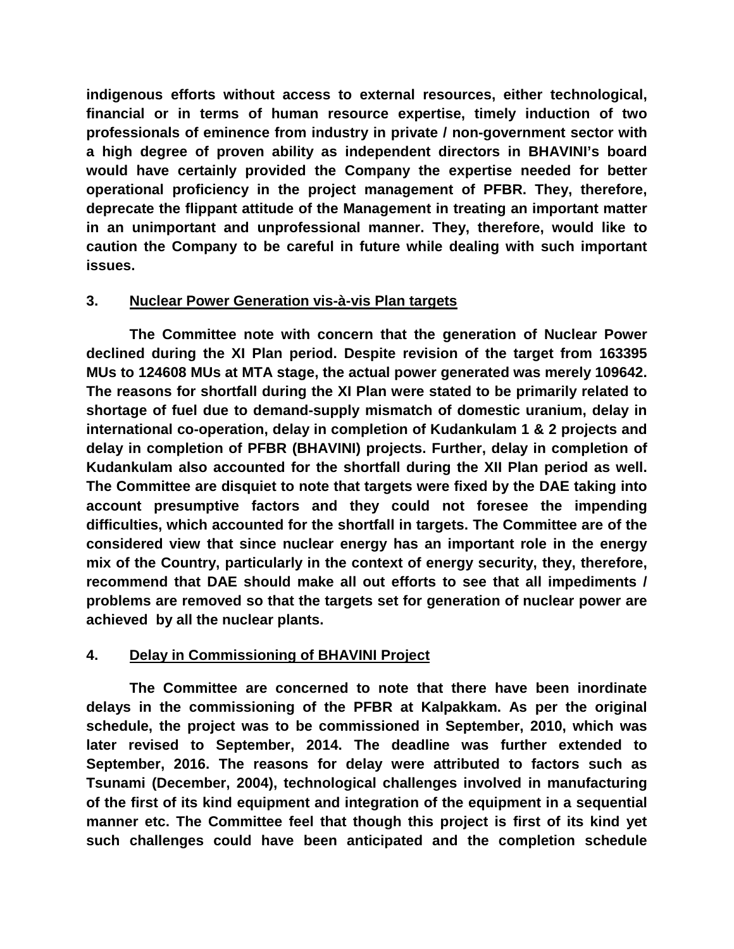**indigenous efforts without access to external resources, either technological, financial or in terms of human resource expertise, timely induction of two professionals of eminence from industry in private / non-government sector with a high degree of proven ability as independent directors in BHAVINI's board would have certainly provided the Company the expertise needed for better operational proficiency in the project management of PFBR. They, therefore, deprecate the flippant attitude of the Management in treating an important matter in an unimportant and unprofessional manner. They, therefore, would like to caution the Company to be careful in future while dealing with such important issues.** 

# **3. Nuclear Power Generation vis-à-vis Plan targets**

 **The Committee note with concern that the generation of Nuclear Power declined during the XI Plan period. Despite revision of the target from 163395 MUs to 124608 MUs at MTA stage, the actual power generated was merely 109642. The reasons for shortfall during the XI Plan were stated to be primarily related to shortage of fuel due to demand-supply mismatch of domestic uranium, delay in international co-operation, delay in completion of Kudankulam 1 & 2 projects and delay in completion of PFBR (BHAVINI) projects. Further, delay in completion of Kudankulam also accounted for the shortfall during the XII Plan period as well. The Committee are disquiet to note that targets were fixed by the DAE taking into account presumptive factors and they could not foresee the impending difficulties, which accounted for the shortfall in targets. The Committee are of the considered view that since nuclear energy has an important role in the energy mix of the Country, particularly in the context of energy security, they, therefore, recommend that DAE should make all out efforts to see that all impediments / problems are removed so that the targets set for generation of nuclear power are achieved by all the nuclear plants.** 

# **4. Delay in Commissioning of BHAVINI Project**

 **The Committee are concerned to note that there have been inordinate delays in the commissioning of the PFBR at Kalpakkam. As per the original schedule, the project was to be commissioned in September, 2010, which was later revised to September, 2014. The deadline was further extended to September, 2016. The reasons for delay were attributed to factors such as Tsunami (December, 2004), technological challenges involved in manufacturing of the first of its kind equipment and integration of the equipment in a sequential manner etc. The Committee feel that though this project is first of its kind yet such challenges could have been anticipated and the completion schedule**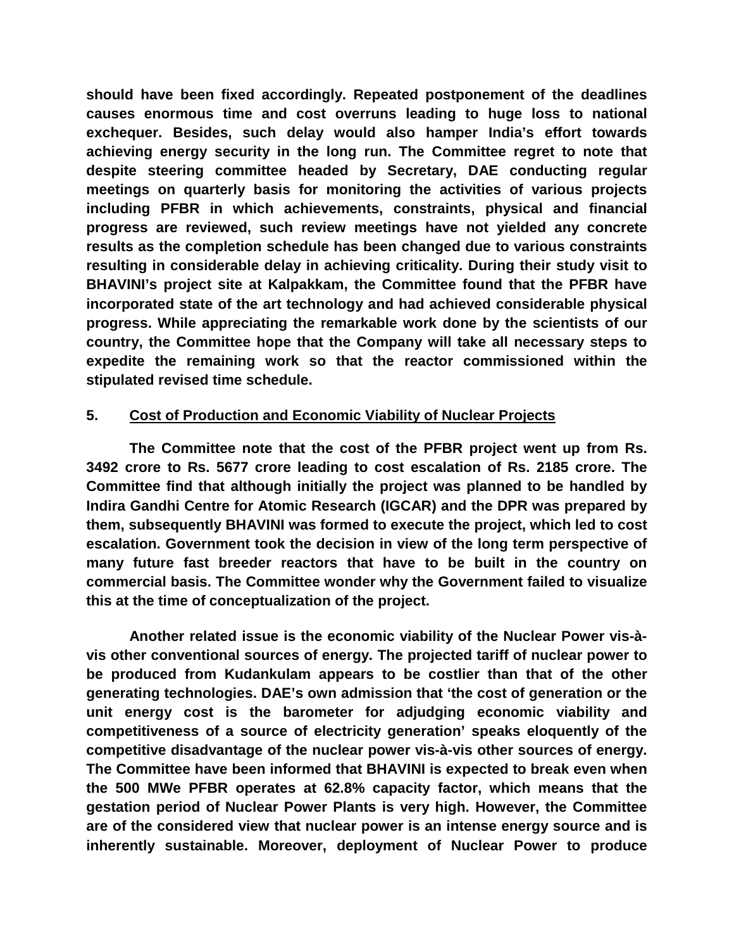**should have been fixed accordingly. Repeated postponement of the deadlines causes enormous time and cost overruns leading to huge loss to national exchequer. Besides, such delay would also hamper India's effort towards achieving energy security in the long run. The Committee regret to note that despite steering committee headed by Secretary, DAE conducting regular meetings on quarterly basis for monitoring the activities of various projects including PFBR in which achievements, constraints, physical and financial progress are reviewed, such review meetings have not yielded any concrete results as the completion schedule has been changed due to various constraints resulting in considerable delay in achieving criticality. During their study visit to BHAVINI's project site at Kalpakkam, the Committee found that the PFBR have incorporated state of the art technology and had achieved considerable physical progress. While appreciating the remarkable work done by the scientists of our country, the Committee hope that the Company will take all necessary steps to expedite the remaining work so that the reactor commissioned within the stipulated revised time schedule.** 

## **5. Cost of Production and Economic Viability of Nuclear Projects**

 **The Committee note that the cost of the PFBR project went up from Rs. 3492 crore to Rs. 5677 crore leading to cost escalation of Rs. 2185 crore. The Committee find that although initially the project was planned to be handled by Indira Gandhi Centre for Atomic Research (IGCAR) and the DPR was prepared by them, subsequently BHAVINI was formed to execute the project, which led to cost escalation. Government took the decision in view of the long term perspective of many future fast breeder reactors that have to be built in the country on commercial basis. The Committee wonder why the Government failed to visualize this at the time of conceptualization of the project.** 

 **Another related issue is the economic viability of the Nuclear Power vis-àvis other conventional sources of energy. The projected tariff of nuclear power to be produced from Kudankulam appears to be costlier than that of the other generating technologies. DAE's own admission that 'the cost of generation or the unit energy cost is the barometer for adjudging economic viability and competitiveness of a source of electricity generation' speaks eloquently of the competitive disadvantage of the nuclear power vis-à-vis other sources of energy. The Committee have been informed that BHAVINI is expected to break even when the 500 MWe PFBR operates at 62.8% capacity factor, which means that the gestation period of Nuclear Power Plants is very high. However, the Committee are of the considered view that nuclear power is an intense energy source and is inherently sustainable. Moreover, deployment of Nuclear Power to produce**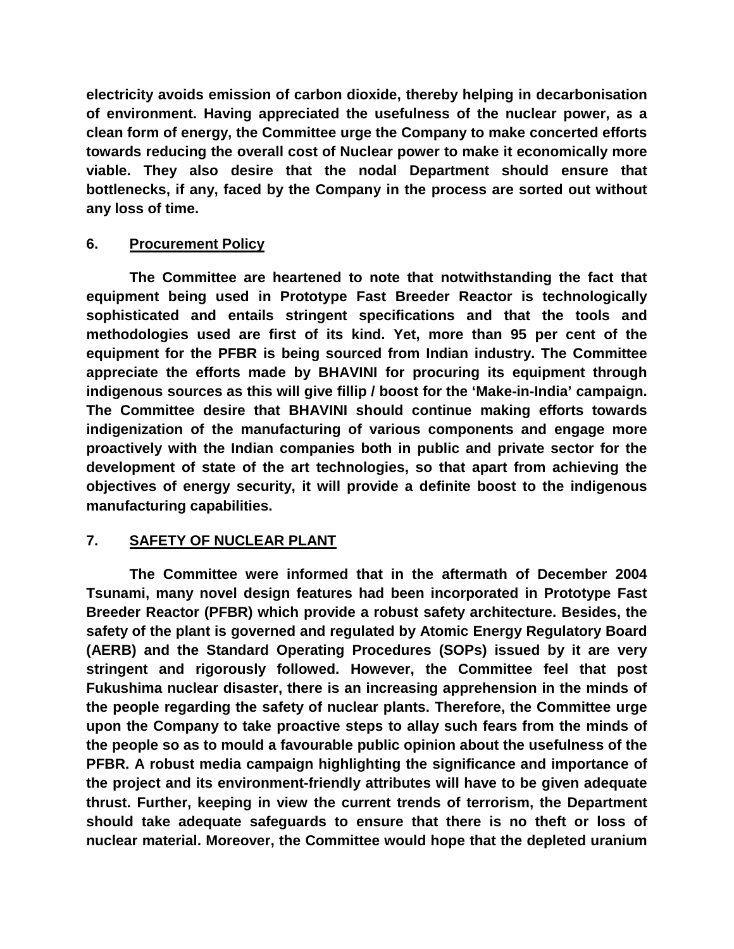**electricity avoids emission of carbon dioxide, thereby helping in decarbonisation of environment. Having appreciated the usefulness of the nuclear power, as a clean form of energy, the Committee urge the Company to make concerted efforts towards reducing the overall cost of Nuclear power to make it economically more viable. They also desire that the nodal Department should ensure that bottlenecks, if any, faced by the Company in the process are sorted out without any loss of time.** 

# **6. Procurement Policy**

 **The Committee are heartened to note that notwithstanding the fact that equipment being used in Prototype Fast Breeder Reactor is technologically sophisticated and entails stringent specifications and that the tools and methodologies used are first of its kind. Yet, more than 95 per cent of the equipment for the PFBR is being sourced from Indian industry. The Committee appreciate the efforts made by BHAVINI for procuring its equipment through indigenous sources as this will give fillip / boost for the 'Make-in-India' campaign. The Committee desire that BHAVINI should continue making efforts towards indigenization of the manufacturing of various components and engage more proactively with the Indian companies both in public and private sector for the development of state of the art technologies, so that apart from achieving the objectives of energy security, it will provide a definite boost to the indigenous manufacturing capabilities.** 

# **7. SAFETY OF NUCLEAR PLANT**

 **The Committee were informed that in the aftermath of December 2004 Tsunami, many novel design features had been incorporated in Prototype Fast Breeder Reactor (PFBR) which provide a robust safety architecture. Besides, the safety of the plant is governed and regulated by Atomic Energy Regulatory Board (AERB) and the Standard Operating Procedures (SOPs) issued by it are very stringent and rigorously followed. However, the Committee feel that post Fukushima nuclear disaster, there is an increasing apprehension in the minds of the people regarding the safety of nuclear plants. Therefore, the Committee urge upon the Company to take proactive steps to allay such fears from the minds of the people so as to mould a favourable public opinion about the usefulness of the PFBR. A robust media campaign highlighting the significance and importance of the project and its environment-friendly attributes will have to be given adequate thrust. Further, keeping in view the current trends of terrorism, the Department should take adequate safeguards to ensure that there is no theft or loss of nuclear material. Moreover, the Committee would hope that the depleted uranium**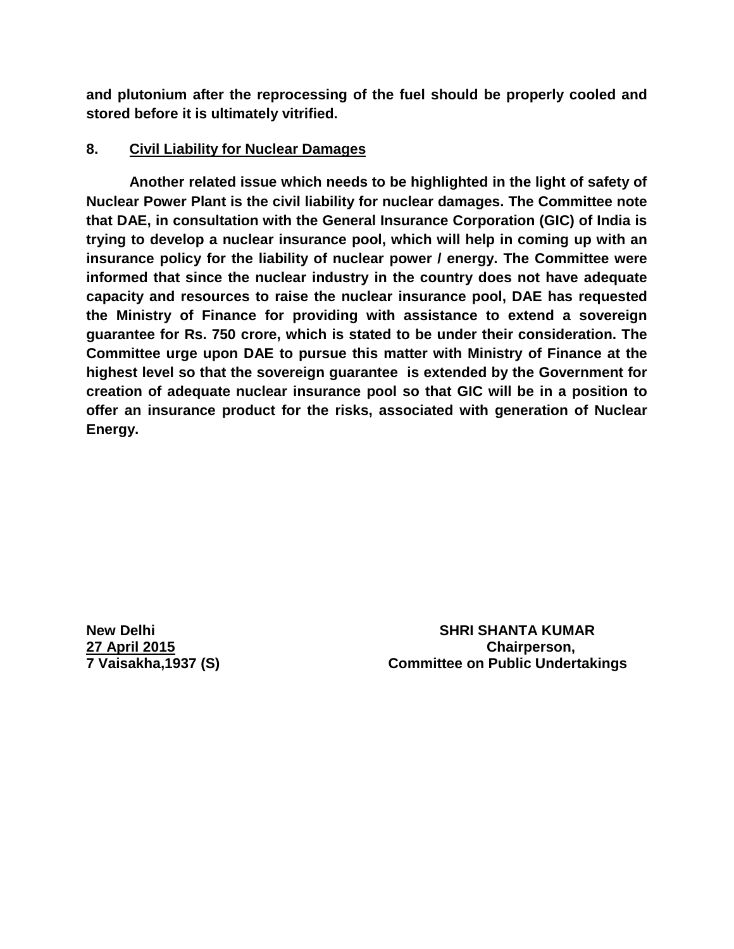**and plutonium after the reprocessing of the fuel should be properly cooled and stored before it is ultimately vitrified.** 

# **8. Civil Liability for Nuclear Damages**

 **Another related issue which needs to be highlighted in the light of safety of Nuclear Power Plant is the civil liability for nuclear damages. The Committee note that DAE, in consultation with the General Insurance Corporation (GIC) of India is trying to develop a nuclear insurance pool, which will help in coming up with an insurance policy for the liability of nuclear power / energy. The Committee were informed that since the nuclear industry in the country does not have adequate capacity and resources to raise the nuclear insurance pool, DAE has requested the Ministry of Finance for providing with assistance to extend a sovereign guarantee for Rs. 750 crore, which is stated to be under their consideration. The Committee urge upon DAE to pursue this matter with Ministry of Finance at the highest level so that the sovereign guarantee is extended by the Government for creation of adequate nuclear insurance pool so that GIC will be in a position to offer an insurance product for the risks, associated with generation of Nuclear Energy.** 

**New Delhi SHRI SHANTA KUMAR 27 April 2015 Chairperson, 7 Vaisakha,1937 (S) Committee on Public Undertakings**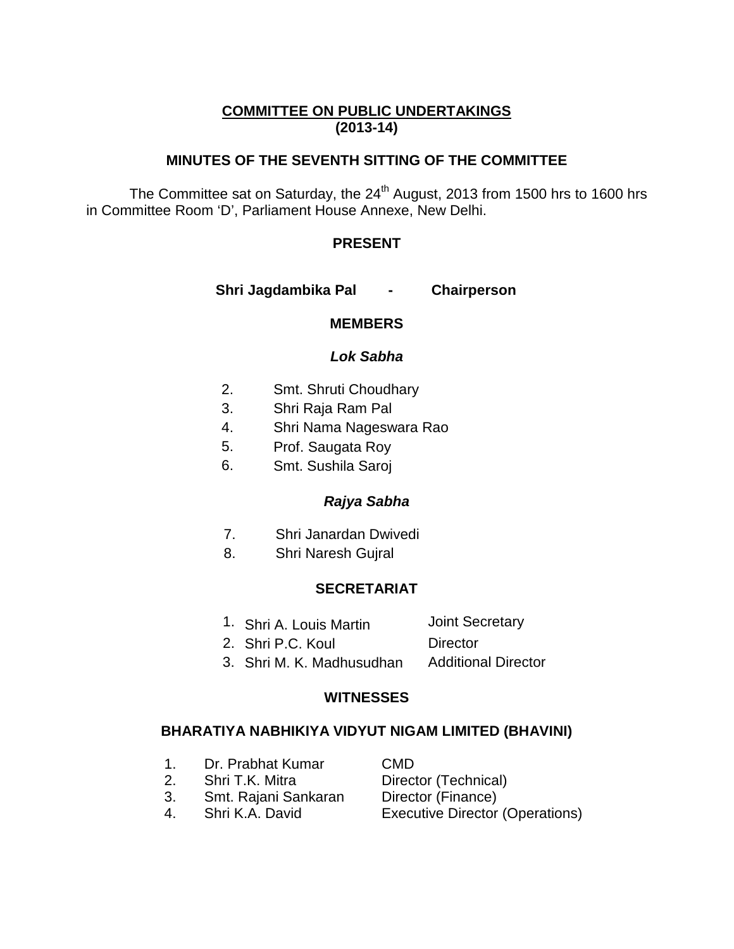# **COMMITTEE ON PUBLIC UNDERTAKINGS (2013-14)**

# **MINUTES OF THE SEVENTH SITTING OF THE COMMITTEE**

The Committee sat on Saturday, the 24<sup>th</sup> August, 2013 from 1500 hrs to 1600 hrs in Committee Room 'D', Parliament House Annexe, New Delhi.

# **PRESENT**

 **Shri Jagdambika Pal - Chairperson** 

## **MEMBERS**

## **Lok Sabha**

- 2. Smt. Shruti Choudhary
- 3. Shri Raja Ram Pal
- 4. Shri Nama Nageswara Rao
- 5. Prof. Saugata Roy
- 6. Smt. Sushila Saroj

# **Rajya Sabha**

- 7. Shri Janardan Dwivedi
- 8. Shri Naresh Gujral

## **SECRETARIAT**

- 1. Shri A. Louis Martin Joint Secretary
- 2. Shri P.C. Koul Director
- 3. Shri M. K. Madhusudhan Additional Director

## **WITNESSES**

## **BHARATIYA NABHIKIYA VIDYUT NIGAM LIMITED (BHAVINI)**

- 1. Dr. Prabhat Kumar CMD
- 2. Shri T.K. Mitra Director (Technical)
- 3. Smt. Rajani Sankaran Director (Finance)
- 

4. Shri K.A. David Executive Director (Operations)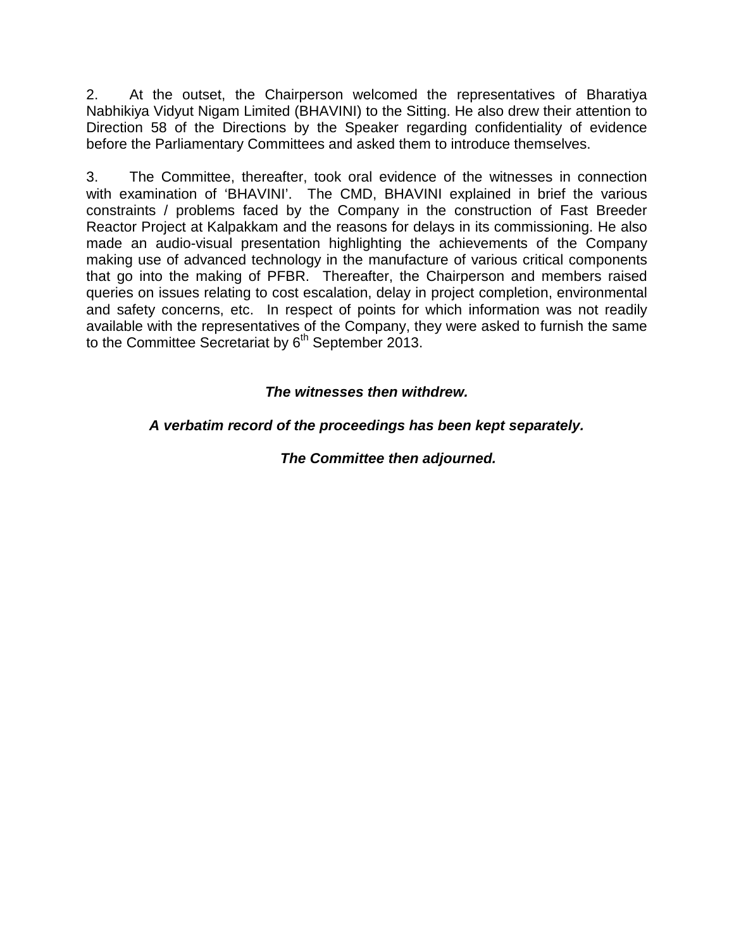2. At the outset, the Chairperson welcomed the representatives of Bharatiya Nabhikiya Vidyut Nigam Limited (BHAVINI) to the Sitting. He also drew their attention to Direction 58 of the Directions by the Speaker regarding confidentiality of evidence before the Parliamentary Committees and asked them to introduce themselves.

3. The Committee, thereafter, took oral evidence of the witnesses in connection with examination of 'BHAVINI'. The CMD, BHAVINI explained in brief the various constraints / problems faced by the Company in the construction of Fast Breeder Reactor Project at Kalpakkam and the reasons for delays in its commissioning. He also made an audio-visual presentation highlighting the achievements of the Company making use of advanced technology in the manufacture of various critical components that go into the making of PFBR. Thereafter, the Chairperson and members raised queries on issues relating to cost escalation, delay in project completion, environmental and safety concerns, etc. In respect of points for which information was not readily available with the representatives of the Company, they were asked to furnish the same to the Committee Secretariat by  $6<sup>th</sup>$  September 2013.

# **The witnesses then withdrew.**

# **A verbatim record of the proceedings has been kept separately.**

**The Committee then adjourned.**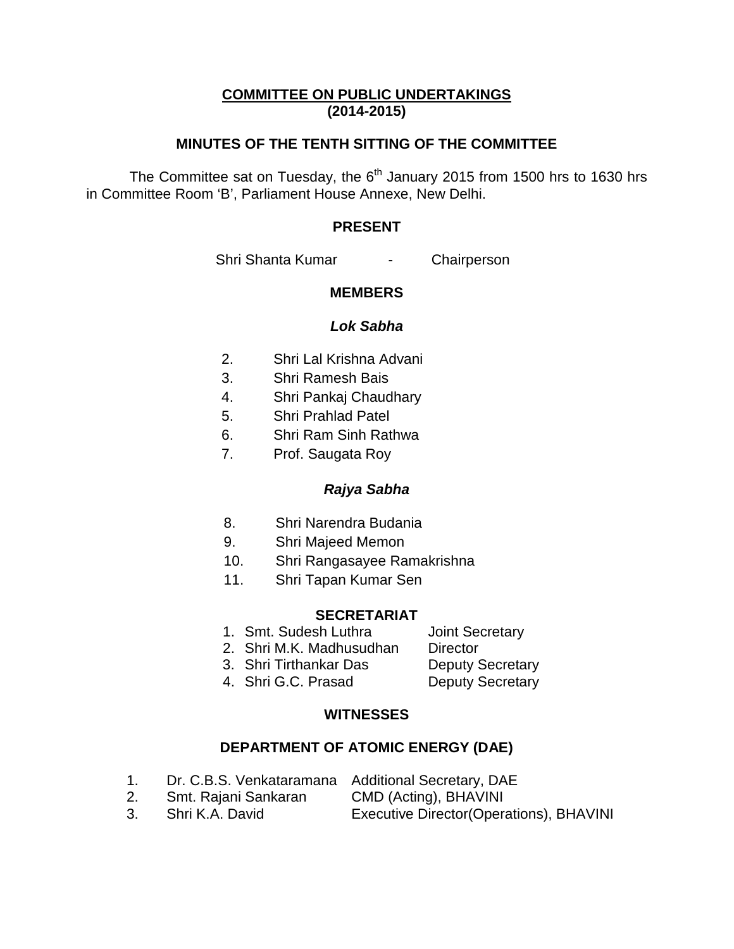# **COMMITTEE ON PUBLIC UNDERTAKINGS (2014-2015)**

# **MINUTES OF THE TENTH SITTING OF THE COMMITTEE**

The Committee sat on Tuesday, the  $6<sup>th</sup>$  January 2015 from 1500 hrs to 1630 hrs in Committee Room 'B', Parliament House Annexe, New Delhi.

### **PRESENT**

Shri Shanta Kumar - Chairperson

### **MEMBERS**

#### **Lok Sabha**

- 2. Shri Lal Krishna Advani
- 3. Shri Ramesh Bais
- 4. Shri Pankaj Chaudhary
- 5. Shri Prahlad Patel
- 6. Shri Ram Sinh Rathwa
- 7. Prof. Saugata Roy

## **Rajya Sabha**

- 8. Shri Narendra Budania
- 9. Shri Majeed Memon
- 10. Shri Rangasayee Ramakrishna
- 11. Shri Tapan Kumar Sen

#### **SECRETARIAT**

- 1. Smt. Sudesh Luthra **Joint Secretary**
- 2. Shri M.K. Madhusudhan Director
- 3. Shri Tirthankar Das Deputy Secretary
	-
- 4. Shri G.C. Prasad Deputy Secretary

## **WITNESSES**

### **DEPARTMENT OF ATOMIC ENERGY (DAE)**

- 1. Dr. C.B.S. Venkataramana Additional Secretary, DAE
- 2. Smt. Rajani Sankaran CMD (Acting), BHAVINI
- 
- 3. Shri K.A. David Executive Director(Operations), BHAVINI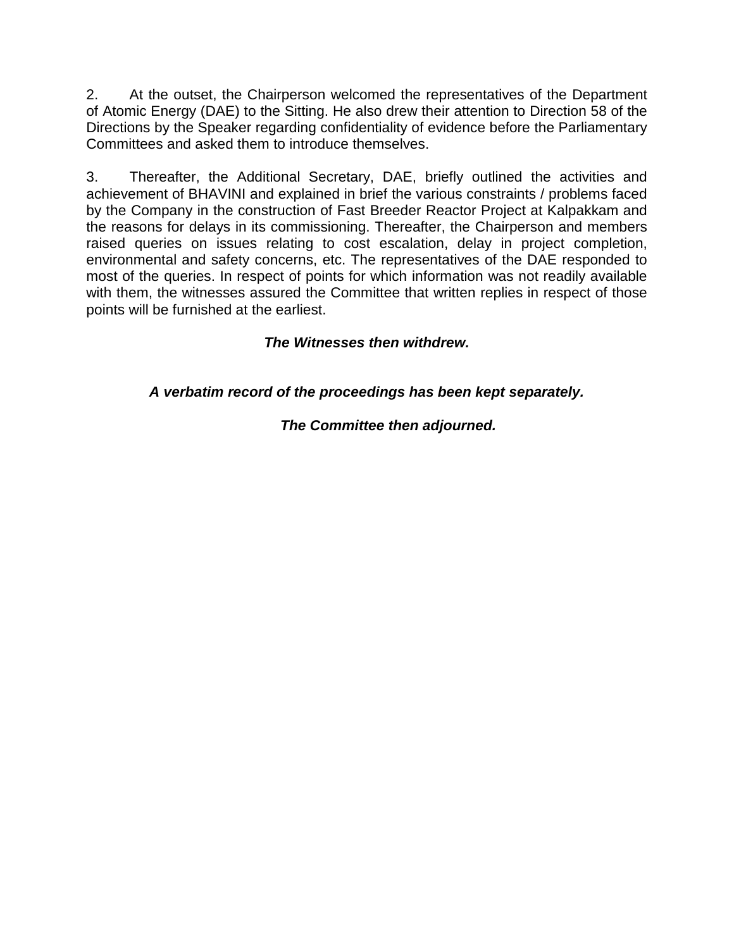2. At the outset, the Chairperson welcomed the representatives of the Department of Atomic Energy (DAE) to the Sitting. He also drew their attention to Direction 58 of the Directions by the Speaker regarding confidentiality of evidence before the Parliamentary Committees and asked them to introduce themselves.

3. Thereafter, the Additional Secretary, DAE, briefly outlined the activities and achievement of BHAVINI and explained in brief the various constraints / problems faced by the Company in the construction of Fast Breeder Reactor Project at Kalpakkam and the reasons for delays in its commissioning. Thereafter, the Chairperson and members raised queries on issues relating to cost escalation, delay in project completion, environmental and safety concerns, etc. The representatives of the DAE responded to most of the queries. In respect of points for which information was not readily available with them, the witnesses assured the Committee that written replies in respect of those points will be furnished at the earliest.

# **The Witnesses then withdrew.**

**A verbatim record of the proceedings has been kept separately.** 

# **The Committee then adjourned.**